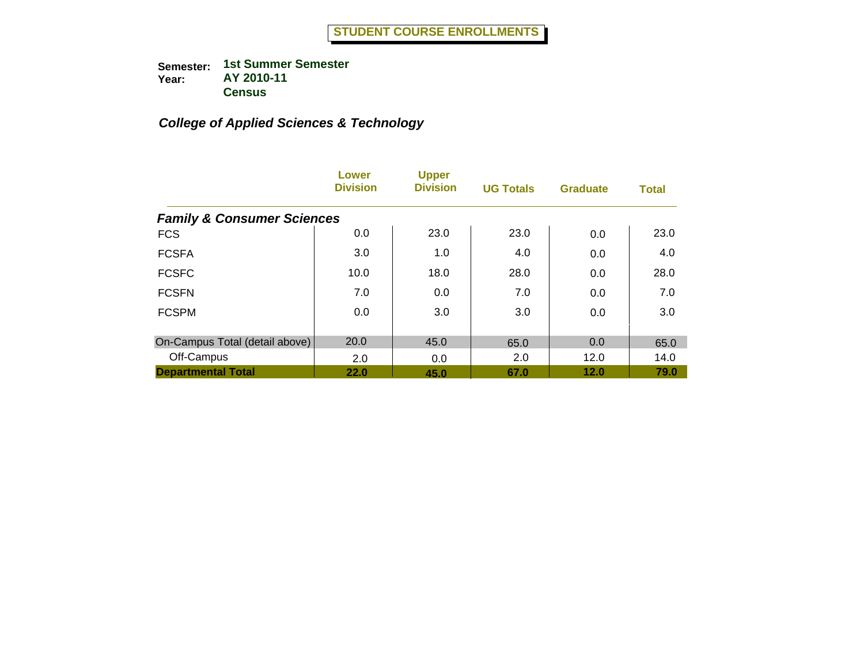|                                       | <b>Lower</b><br><b>Division</b> | <b>Upper</b><br><b>Division</b> | <b>UG Totals</b> | <b>Graduate</b> | <b>Total</b> |
|---------------------------------------|---------------------------------|---------------------------------|------------------|-----------------|--------------|
| <b>Family &amp; Consumer Sciences</b> |                                 |                                 |                  |                 |              |
| <b>FCS</b>                            | 0.0                             | 23.0                            | 23.0             | 0.0             | 23.0         |
| <b>FCSFA</b>                          | 3.0                             | 1.0                             | 4.0              | 0.0             | 4.0          |
| <b>FCSFC</b>                          | 10.0                            | 18.0                            | 28.0             | 0.0             | 28.0         |
| <b>FCSFN</b>                          | 7.0                             | 0.0                             | 7.0              | 0.0             | 7.0          |
| <b>FCSPM</b>                          | 0.0                             | 3.0                             | 3.0              | 0.0             | 3.0          |
| On-Campus Total (detail above)        | 20.0                            | 45.0                            | 65.0             | 0.0             | 65.0         |
| Off-Campus                            | 2.0                             | 0.0                             | 2.0              | 12.0            | 14.0         |
| <b>Departmental Total</b>             | 22.0                            | 45.0                            | 67.0             | 12.0            | 79.0         |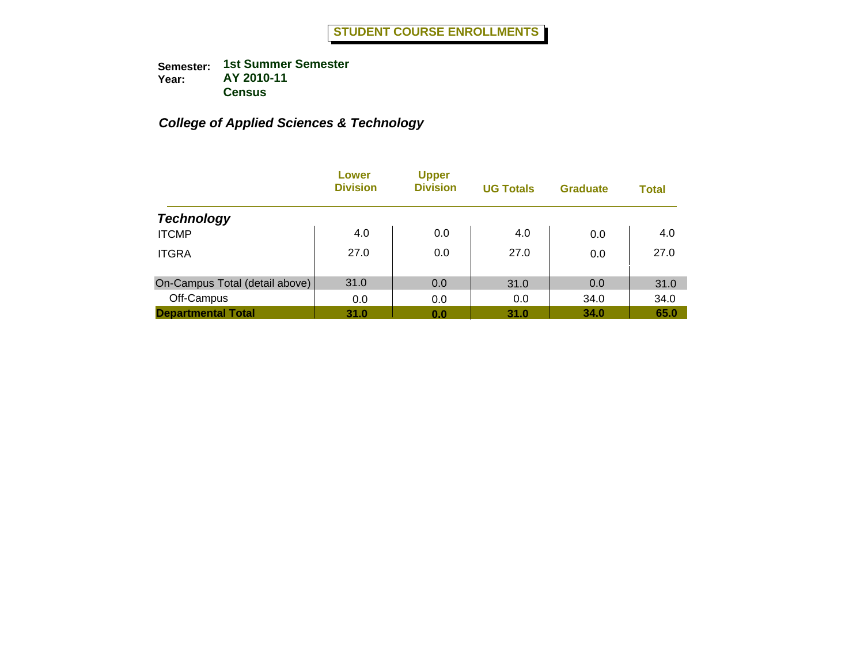|                                | Lower<br><b>Division</b> | <b>Upper</b><br><b>Division</b> | <b>UG Totals</b> | <b>Graduate</b> | <b>Total</b> |
|--------------------------------|--------------------------|---------------------------------|------------------|-----------------|--------------|
| <b>Technology</b>              |                          |                                 |                  |                 |              |
| <b>ITCMP</b>                   | 4.0                      | 0.0                             | 4.0              | 0.0             | 4.0          |
| <b>ITGRA</b>                   | 27.0                     | 0.0                             | 27.0             | 0.0             | 27.0         |
| On-Campus Total (detail above) | 31.0                     | 0.0                             | 31.0             | 0.0             | 31.0         |
| Off-Campus                     | 0.0                      | 0.0                             | 0.0              | 34.0            | 34.0         |
| <b>Departmental Total</b>      | 31.0                     | 0.0                             | 31.0             | 34.0            | 65.0         |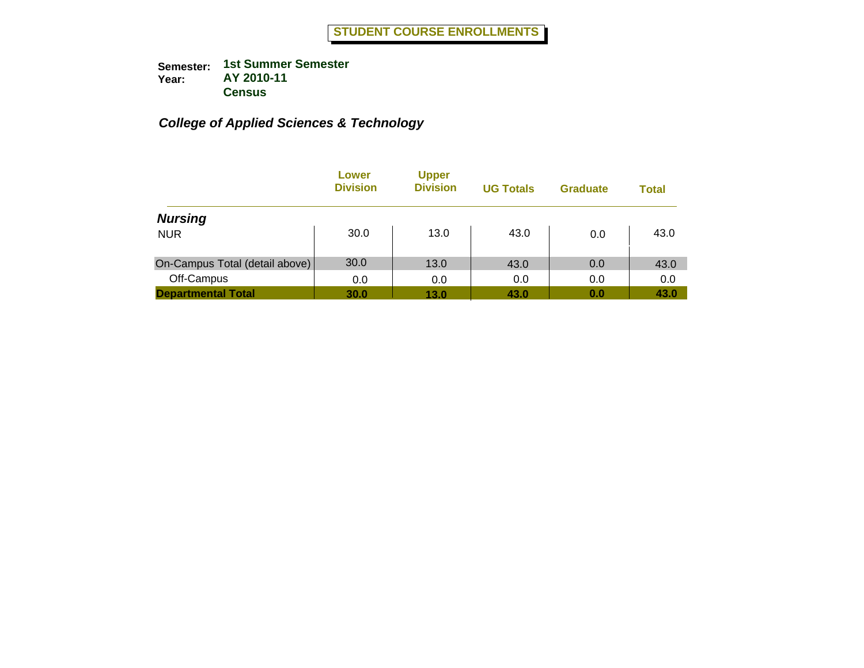|                                | Lower<br><b>Division</b> | <b>Upper</b><br><b>Division</b> | <b>UG Totals</b> | <b>Graduate</b> | <b>Total</b> |
|--------------------------------|--------------------------|---------------------------------|------------------|-----------------|--------------|
| <b>Nursing</b>                 |                          |                                 |                  |                 |              |
| <b>NUR</b>                     | 30.0                     | 13.0                            | 43.0             | 0.0             | 43.0         |
| On-Campus Total (detail above) | 30.0                     | 13.0                            | 43.0             | 0.0             | 43.0         |
| Off-Campus                     | 0.0                      | 0.0                             | 0.0              | 0.0             | 0.0          |
| <b>Departmental Total</b>      | 30.0                     | 13.0                            | 43.0             | 0.0             | 43.0         |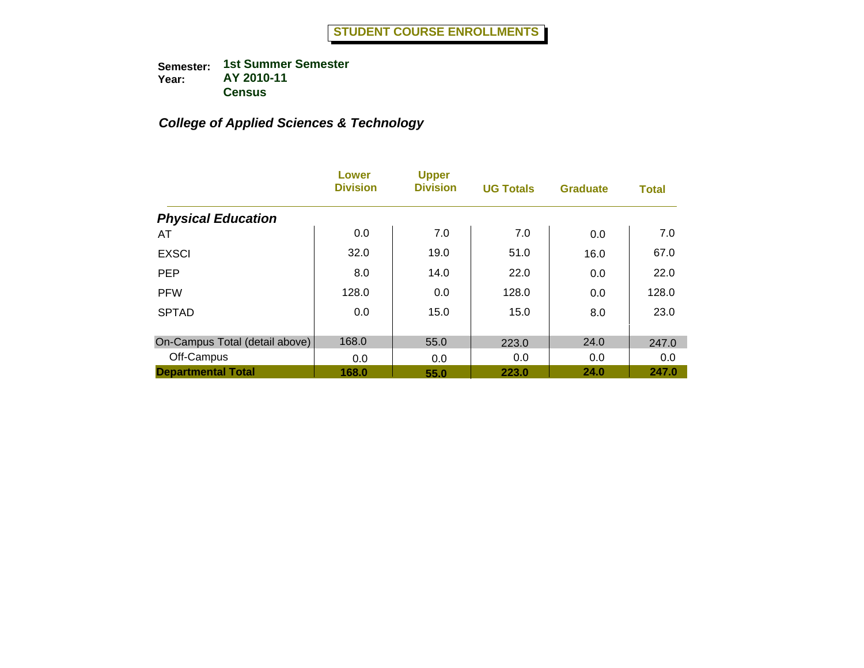|                                | Lower<br><b>Division</b> | <b>Upper</b><br><b>Division</b> | <b>UG Totals</b> | <b>Graduate</b> | <b>Total</b> |
|--------------------------------|--------------------------|---------------------------------|------------------|-----------------|--------------|
| <b>Physical Education</b>      |                          |                                 |                  |                 |              |
| AT                             | 0.0                      | 7.0                             | 7.0              | 0.0             | 7.0          |
| <b>EXSCI</b>                   | 32.0                     | 19.0                            | 51.0             | 16.0            | 67.0         |
| <b>PEP</b>                     | 8.0                      | 14.0                            | 22.0             | 0.0             | 22.0         |
| <b>PFW</b>                     | 128.0                    | 0.0                             | 128.0            | 0.0             | 128.0        |
| <b>SPTAD</b>                   | 0.0                      | 15.0                            | 15.0             | 8.0             | 23.0         |
| On-Campus Total (detail above) | 168.0                    | 55.0                            | 223.0            | 24.0            | 247.0        |
| Off-Campus                     | 0.0                      | 0.0                             | 0.0              | 0.0             | 0.0          |
| <b>Departmental Total</b>      | 168.0                    | 55.0                            | 223.0            | 24.0            | 247.0        |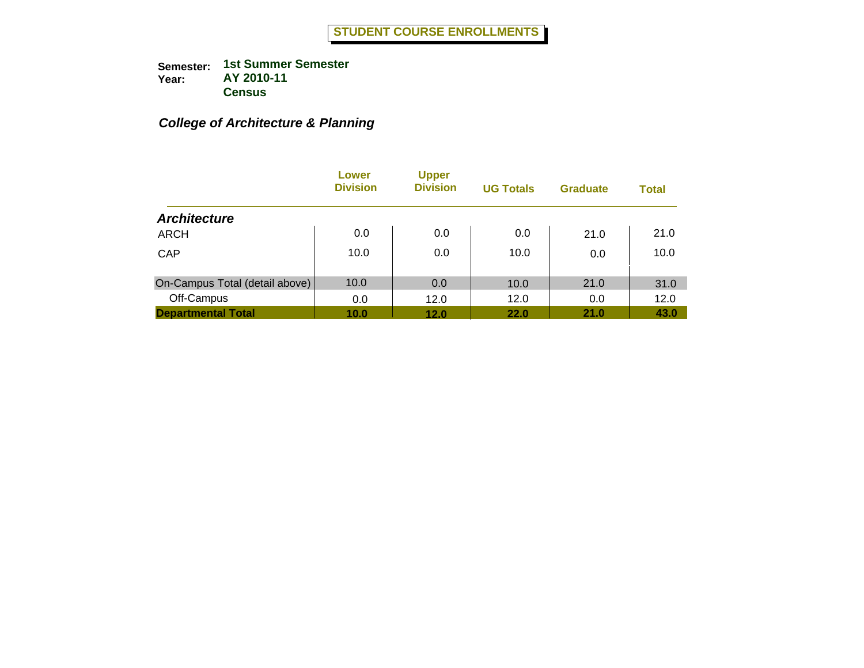# *College of Architecture & Planning*

|                                | Lower<br><b>Division</b> | <b>Upper</b><br><b>Division</b> | <b>UG Totals</b> | <b>Graduate</b> | <b>Total</b> |
|--------------------------------|--------------------------|---------------------------------|------------------|-----------------|--------------|
| <b>Architecture</b>            |                          |                                 |                  |                 |              |
| <b>ARCH</b>                    | 0.0                      | 0.0                             | 0.0              | 21.0            | 21.0         |
| CAP                            | 10.0                     | 0.0                             | 10.0             | 0.0             | 10.0         |
| On-Campus Total (detail above) | 10.0                     | 0.0                             | 10.0             | 21.0            | 31.0         |
| Off-Campus                     | 0.0                      | 12.0                            | 12.0             | 0.0             | 12.0         |
| <b>Departmental Total</b>      | 10.0                     | 12.0                            | 22.0             | 21.0            | 43.0         |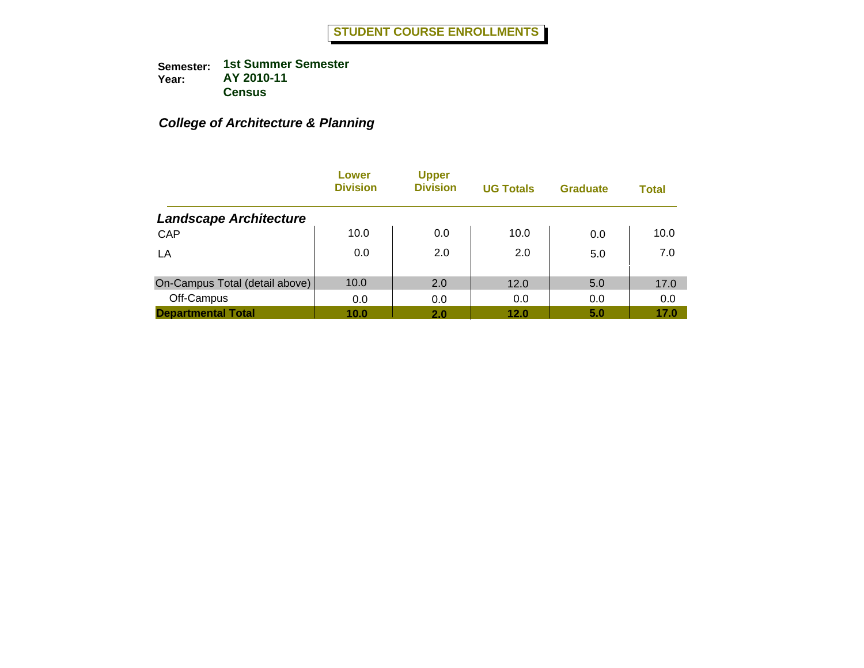# *College of Architecture & Planning*

|                                | Lower<br><b>Division</b> | <b>Upper</b><br><b>Division</b> | <b>UG Totals</b> | <b>Graduate</b> | <b>Total</b> |
|--------------------------------|--------------------------|---------------------------------|------------------|-----------------|--------------|
| <b>Landscape Architecture</b>  |                          |                                 |                  |                 |              |
| CAP                            | 10.0                     | 0.0                             | 10.0             | 0.0             | 10.0         |
| LA                             | 0.0                      | 2.0                             | 2.0              | 5.0             | 7.0          |
| On-Campus Total (detail above) | 10.0                     | 2.0                             | 12.0             | 5.0             | 17.0         |
| Off-Campus                     | 0.0                      | 0.0                             | 0.0              | 0.0             | 0.0          |
| <b>Departmental Total</b>      | 10.0                     | 2.0                             | 12.0             | 5.0             | 17.0         |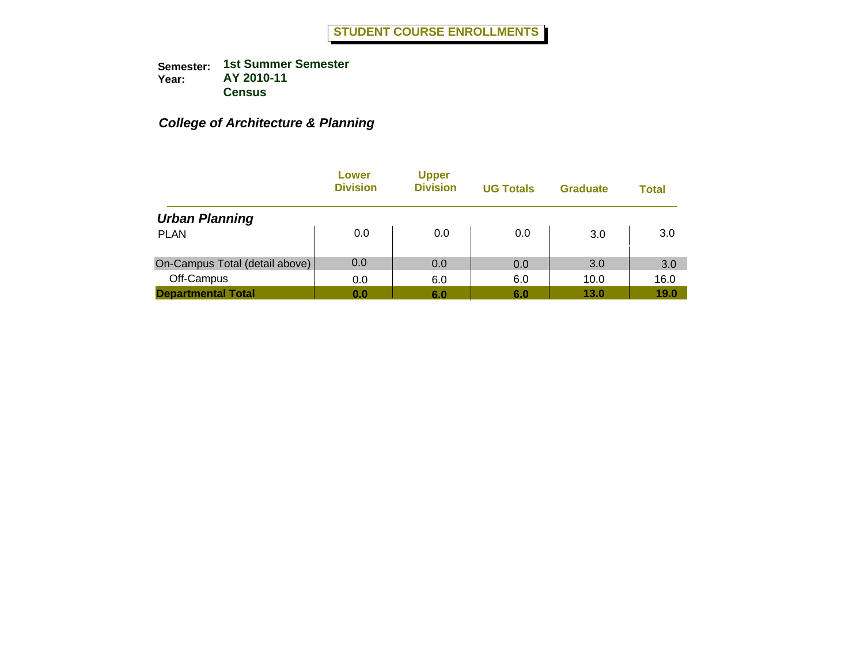# *College of Architecture & Planning*

|                                | Lower<br><b>Division</b> | <b>Upper</b><br><b>Division</b> | <b>UG Totals</b> | <b>Graduate</b> | Total |
|--------------------------------|--------------------------|---------------------------------|------------------|-----------------|-------|
| <b>Urban Planning</b>          |                          |                                 |                  |                 |       |
| <b>PLAN</b>                    | 0.0                      | 0.0                             | 0.0              | 3.0             | 3.0   |
| On-Campus Total (detail above) | 0.0                      | 0.0                             | 0.0              | 3.0             | 3.0   |
| Off-Campus                     | 0.0                      | 6.0                             | 6.0              | 10.0            | 16.0  |
| <b>Departmental Total</b>      | 0.0                      | 6.0                             | 6.0              | 13.0            | 19.0  |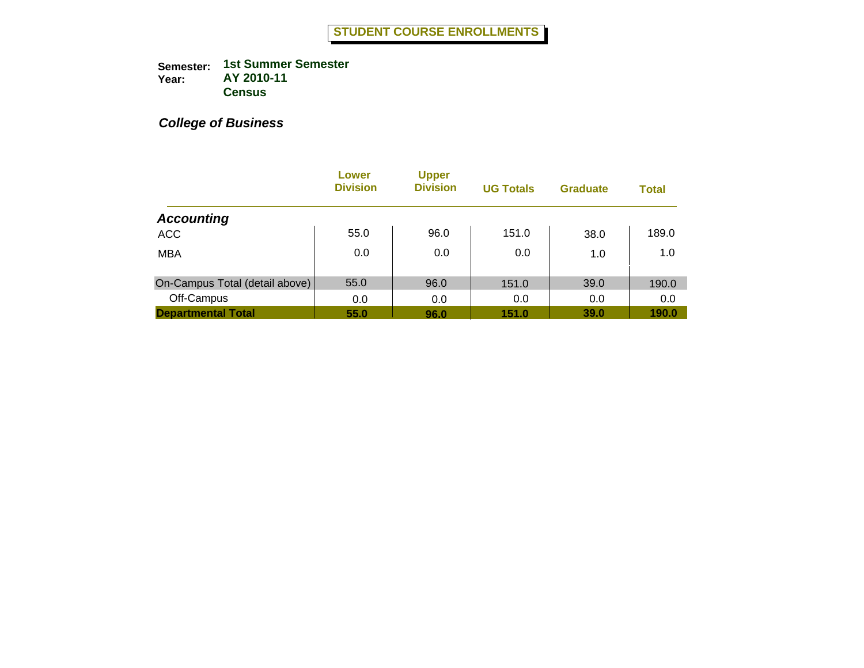|                                | Lower<br><b>Division</b> | <b>Upper</b><br><b>Division</b> | <b>UG Totals</b> | <b>Graduate</b> | <b>Total</b> |
|--------------------------------|--------------------------|---------------------------------|------------------|-----------------|--------------|
| <b>Accounting</b>              |                          |                                 |                  |                 |              |
| <b>ACC</b>                     | 55.0                     | 96.0                            | 151.0            | 38.0            | 189.0        |
| <b>MBA</b>                     | 0.0                      | 0.0                             | 0.0              | 1.0             | 1.0          |
| On-Campus Total (detail above) | 55.0                     | 96.0                            | 151.0            | 39.0            | 190.0        |
| Off-Campus                     | 0.0                      | 0.0                             | 0.0              | 0.0             | 0.0          |
| <b>Departmental Total</b>      | 55.0                     | 96.0                            | 151.0            | 39.0            | 190.0        |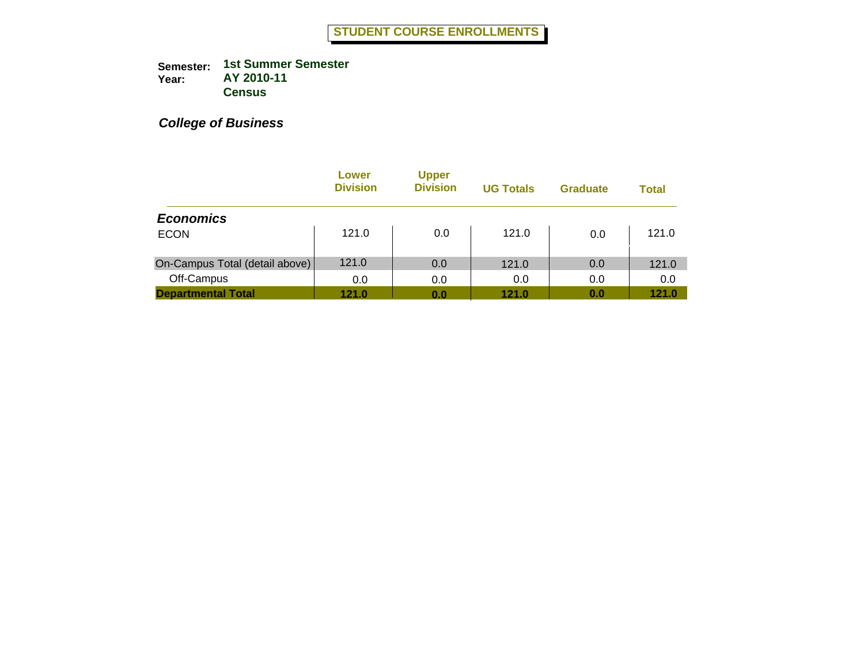|                                | Lower<br><b>Division</b> | <b>Upper</b><br><b>Division</b> | <b>UG Totals</b> | <b>Graduate</b> | <b>Total</b> |
|--------------------------------|--------------------------|---------------------------------|------------------|-----------------|--------------|
| <b>Economics</b>               |                          |                                 |                  |                 |              |
| <b>ECON</b>                    | 121.0                    | 0.0                             | 121.0            | 0.0             | 121.0        |
| On-Campus Total (detail above) | 121.0                    | 0.0                             | 121.0            | 0.0             | 121.0        |
| Off-Campus                     | 0.0                      | 0.0                             | 0.0              | 0.0             | 0.0          |
| <b>Departmental Total</b>      | 121.0                    | 0.0                             | 121.0            | 0.0             | 121.0        |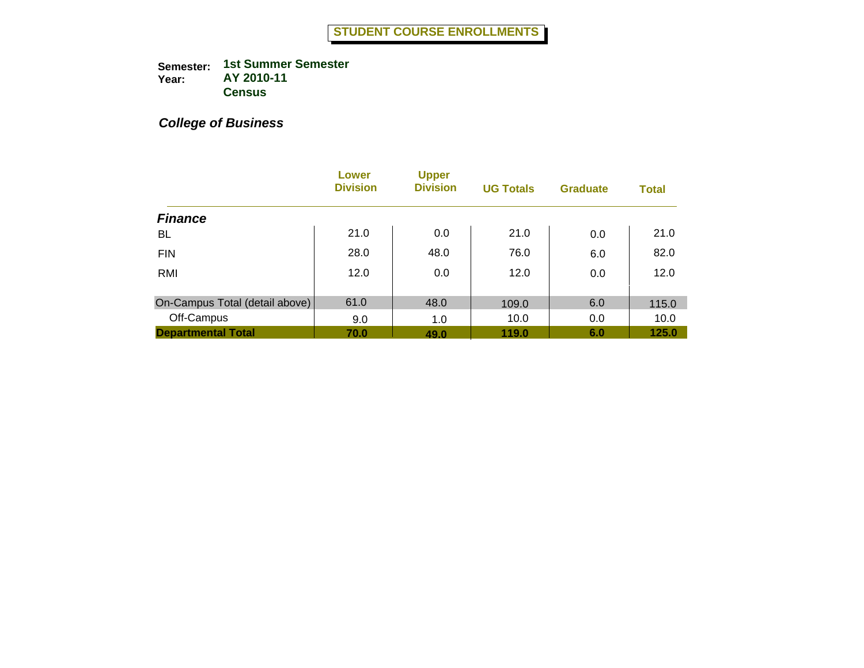|                                | Lower<br><b>Division</b> | <b>Upper</b><br><b>Division</b> | <b>UG Totals</b> | <b>Graduate</b> | <b>Total</b> |
|--------------------------------|--------------------------|---------------------------------|------------------|-----------------|--------------|
| <b>Finance</b>                 |                          |                                 |                  |                 |              |
| BL                             | 21.0                     | 0.0                             | 21.0             | 0.0             | 21.0         |
| <b>FIN</b>                     | 28.0                     | 48.0                            | 76.0             | 6.0             | 82.0         |
| RMI                            | 12.0                     | 0.0                             | 12.0             | 0.0             | 12.0         |
| On-Campus Total (detail above) | 61.0                     | 48.0                            | 109.0            | 6.0             | 115.0        |
| Off-Campus                     | 9.0                      | 1.0                             | 10.0             | 0.0             | 10.0         |
| <b>Departmental Total</b>      | 70.0                     | 49.0                            | 119.0            | 6.0             | 125.0        |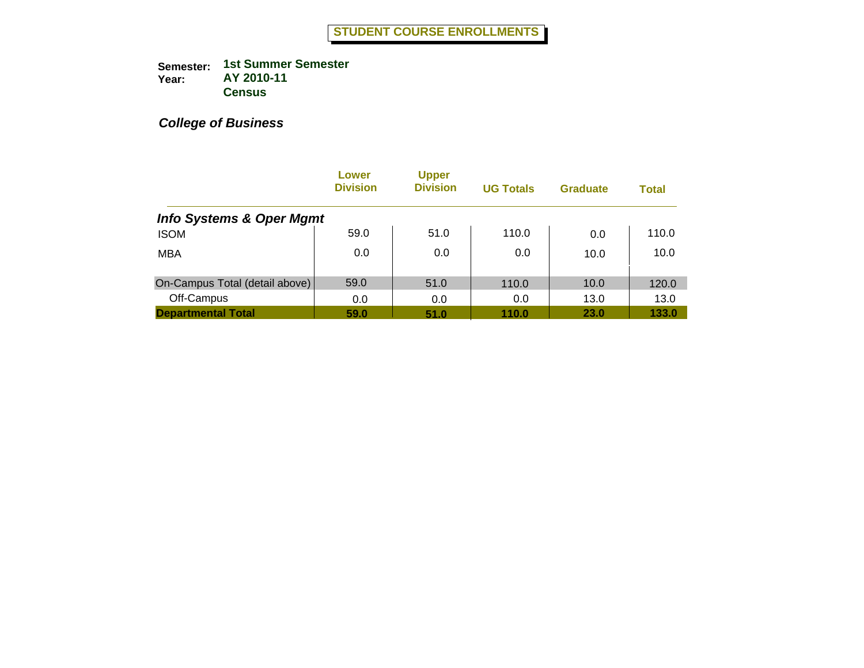|                                     | Lower<br><b>Division</b> | <b>Upper</b><br><b>Division</b> | <b>UG Totals</b> | <b>Graduate</b> | <b>Total</b> |
|-------------------------------------|--------------------------|---------------------------------|------------------|-----------------|--------------|
| <b>Info Systems &amp; Oper Mgmt</b> |                          |                                 |                  |                 |              |
| <b>ISOM</b>                         | 59.0                     | 51.0                            | 110.0            | 0.0             | 110.0        |
| <b>MBA</b>                          | 0.0                      | 0.0                             | 0.0              | 10.0            | 10.0         |
| On-Campus Total (detail above)      | 59.0                     | 51.0                            | 110.0            | 10.0            | 120.0        |
| Off-Campus                          | 0.0                      | 0.0                             | 0.0              | 13.0            | 13.0         |
| <b>Departmental Total</b>           | 59.0                     | 51.0                            | 110.0            | 23.0            | 133.0        |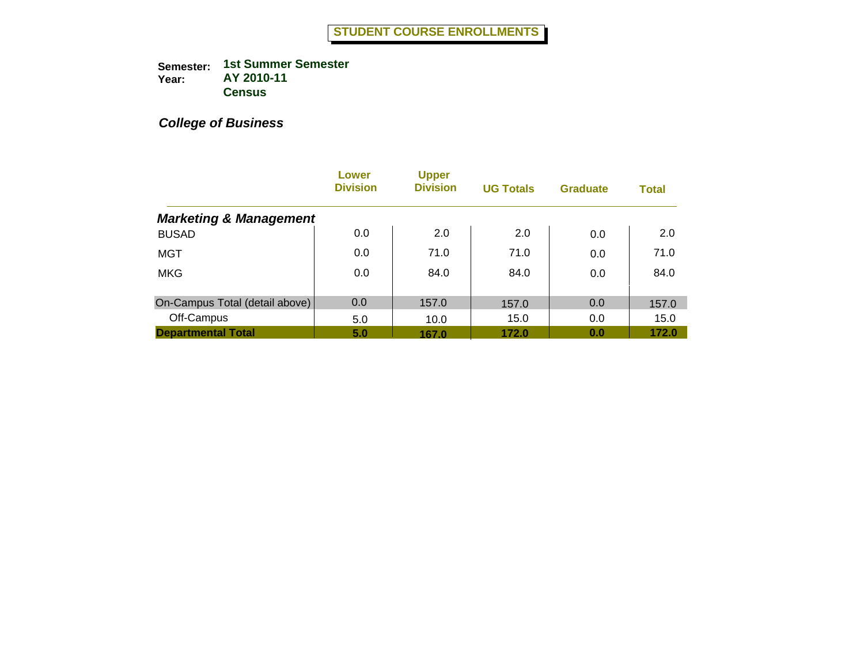|                                   | Lower<br><b>Division</b> | <b>Upper</b><br><b>Division</b> | <b>UG Totals</b> | <b>Graduate</b> | <b>Total</b> |
|-----------------------------------|--------------------------|---------------------------------|------------------|-----------------|--------------|
| <b>Marketing &amp; Management</b> |                          |                                 |                  |                 |              |
| <b>BUSAD</b>                      | 0.0                      | 2.0                             | 2.0              | 0.0             | 2.0          |
| <b>MGT</b>                        | 0.0                      | 71.0                            | 71.0             | 0.0             | 71.0         |
| <b>MKG</b>                        | 0.0                      | 84.0                            | 84.0             | 0.0             | 84.0         |
| On-Campus Total (detail above)    | 0.0                      | 157.0                           | 157.0            | 0.0             | 157.0        |
| Off-Campus                        | 5.0                      | 10.0                            | 15.0             | 0.0             | 15.0         |
| <b>Departmental Total</b>         | 5.0                      | 167.0                           | 172.0            | 0.0             | 172.0        |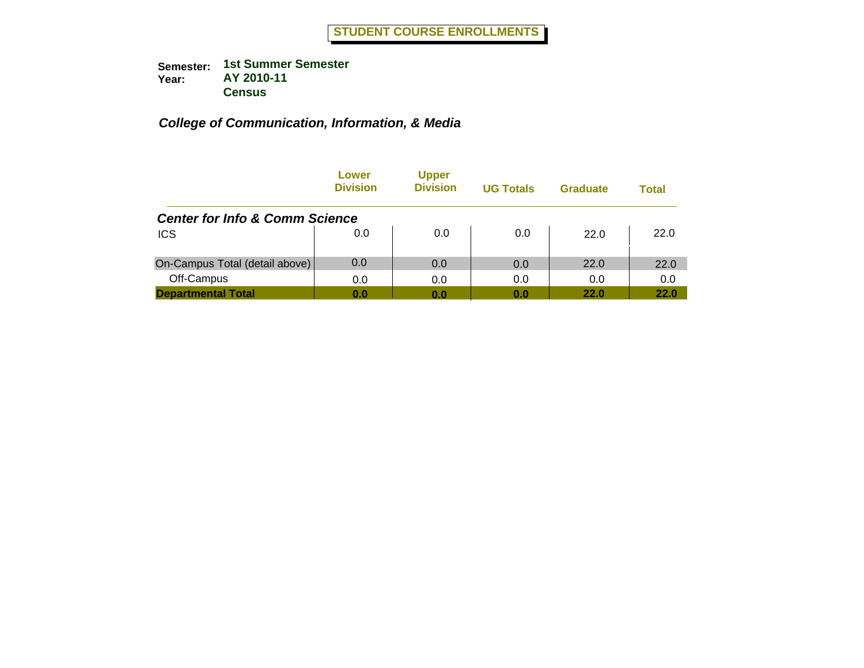|                                           | Lower<br><b>Division</b> | <b>Upper</b><br><b>Division</b> | <b>UG Totals</b> | Graduate    | Total |
|-------------------------------------------|--------------------------|---------------------------------|------------------|-------------|-------|
| <b>Center for Info &amp; Comm Science</b> |                          |                                 |                  |             |       |
| <b>ICS</b>                                | 0.0                      | 0.0                             | 0.0              | 22.0        | 22.0  |
| On-Campus Total (detail above)            | 0.0                      | 0.0                             | 0.0              | 22.0        | 22.0  |
| Off-Campus                                | 0.0                      | 0.0                             | 0.0              | 0.0         | 0.0   |
| <b>Departmental Total</b>                 | 0.0                      | 0.0                             | 0.0              | <b>22.0</b> | 22.0  |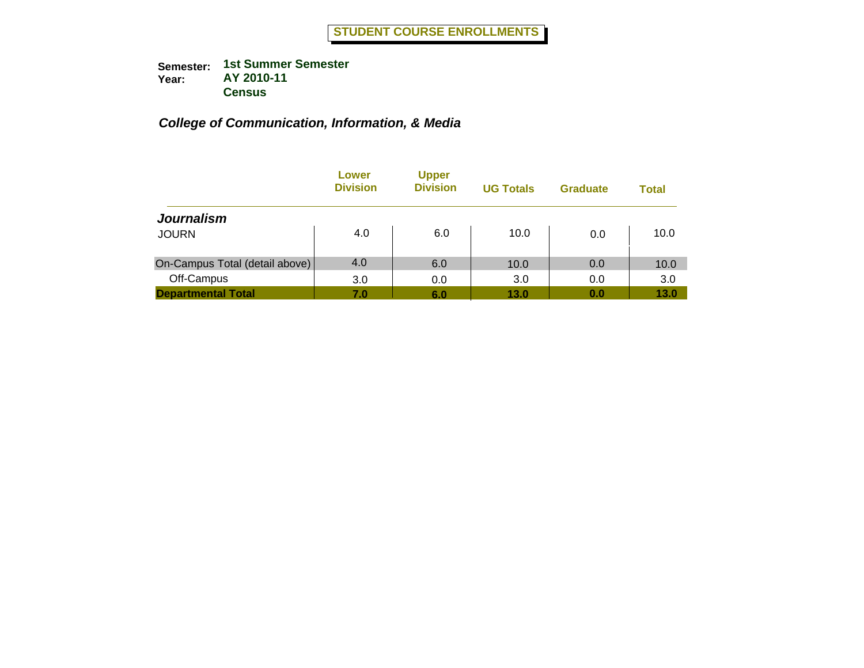|                                | Lower<br><b>Division</b> | <b>Upper</b><br><b>Division</b> | <b>UG Totals</b> | <b>Graduate</b> | <b>Total</b> |
|--------------------------------|--------------------------|---------------------------------|------------------|-----------------|--------------|
| <b>Journalism</b>              |                          |                                 |                  |                 |              |
| <b>JOURN</b>                   | 4.0                      | 6.0                             | 10.0             | 0.0             | 10.0         |
| On-Campus Total (detail above) | 4.0                      | 6.0                             | 10.0             | 0.0             | 10.0         |
| Off-Campus                     | 3.0                      | 0.0                             | 3.0              | 0.0             | 3.0          |
| <b>Departmental Total</b>      | 7.0                      | 6.0                             | 13.0             | 0.0             | 13.0         |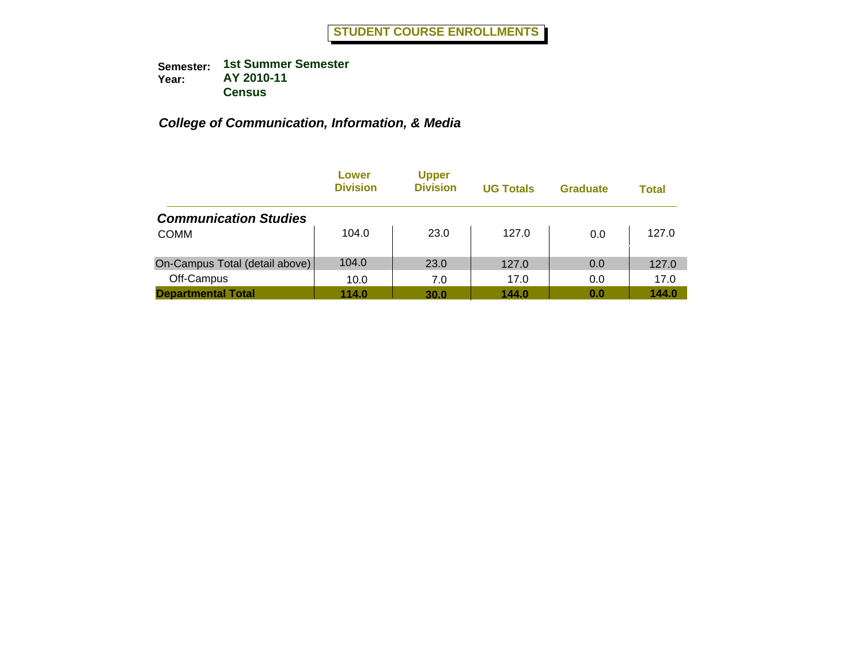|                                | Lower<br><b>Division</b> | <b>Upper</b><br><b>Division</b> | <b>UG Totals</b> | <b>Graduate</b> | Total |
|--------------------------------|--------------------------|---------------------------------|------------------|-----------------|-------|
| <b>Communication Studies</b>   |                          |                                 |                  |                 |       |
| <b>COMM</b>                    | 104.0                    | 23.0                            | 127.0            | 0.0             | 127.0 |
| On-Campus Total (detail above) | 104.0                    | 23.0                            | 127.0            | 0.0             | 127.0 |
| Off-Campus                     | 10.0                     | 7.0                             | 17.0             | 0.0             | 17.0  |
| <b>Departmental Total</b>      | 114.0                    | 30.0                            | 144.0            | 0.0             | 144.0 |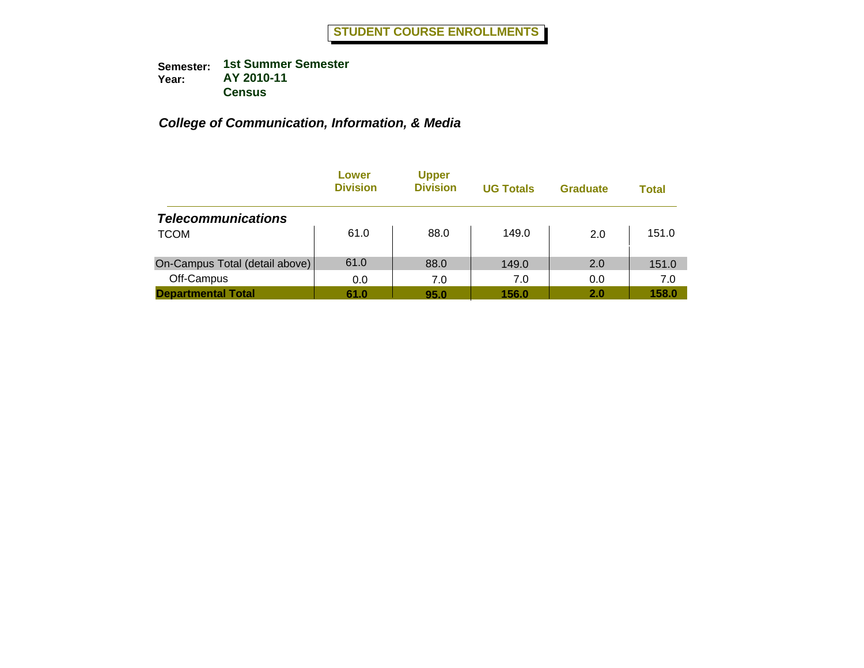|                                | Lower<br><b>Division</b> | <b>Upper</b><br><b>Division</b> | <b>UG Totals</b> | <b>Graduate</b> | Total |
|--------------------------------|--------------------------|---------------------------------|------------------|-----------------|-------|
| <b>Telecommunications</b>      |                          |                                 |                  |                 |       |
| <b>TCOM</b>                    | 61.0                     | 88.0                            | 149.0            | 2.0             | 151.0 |
| On-Campus Total (detail above) | 61.0                     | 88.0                            | 149.0            | 2.0             | 151.0 |
| Off-Campus                     | 0.0                      | 7.0                             | 7.0              | 0.0             | 7.0   |
| <b>Departmental Total</b>      | 61.0                     | 95.0                            | 156.0            | 2.0             | 158.0 |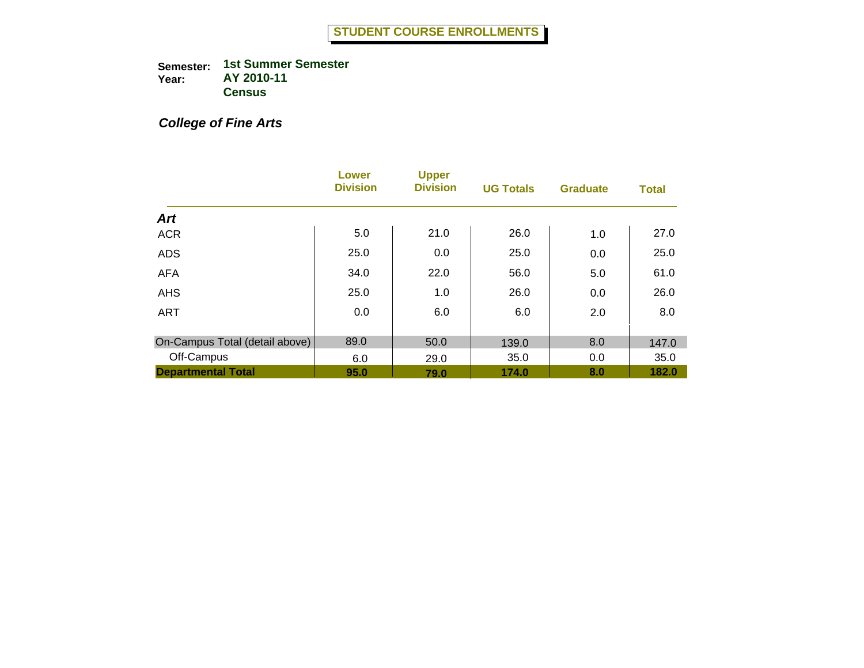# *College of Fine Arts*

|                                | <b>Lower</b><br><b>Division</b> | <b>Upper</b><br><b>Division</b> | <b>UG Totals</b> | <b>Graduate</b> | <b>Total</b> |
|--------------------------------|---------------------------------|---------------------------------|------------------|-----------------|--------------|
| <b>Art</b>                     |                                 |                                 |                  |                 |              |
| <b>ACR</b>                     | 5.0                             | 21.0                            | 26.0             | 1.0             | 27.0         |
| <b>ADS</b>                     | 25.0                            | 0.0                             | 25.0             | 0.0             | 25.0         |
| <b>AFA</b>                     | 34.0                            | 22.0                            | 56.0             | 5.0             | 61.0         |
| <b>AHS</b>                     | 25.0                            | 1.0                             | 26.0             | 0.0             | 26.0         |
| <b>ART</b>                     | 0.0                             | 6.0                             | 6.0              | 2.0             | 8.0          |
| On-Campus Total (detail above) | 89.0                            | 50.0                            | 139.0            | 8.0             | 147.0        |
| Off-Campus                     | 6.0                             | 29.0                            | 35.0             | 0.0             | 35.0         |
| <b>Departmental Total</b>      | 95.0                            | 79.0                            | 174.0            | 8.0             | 182.0        |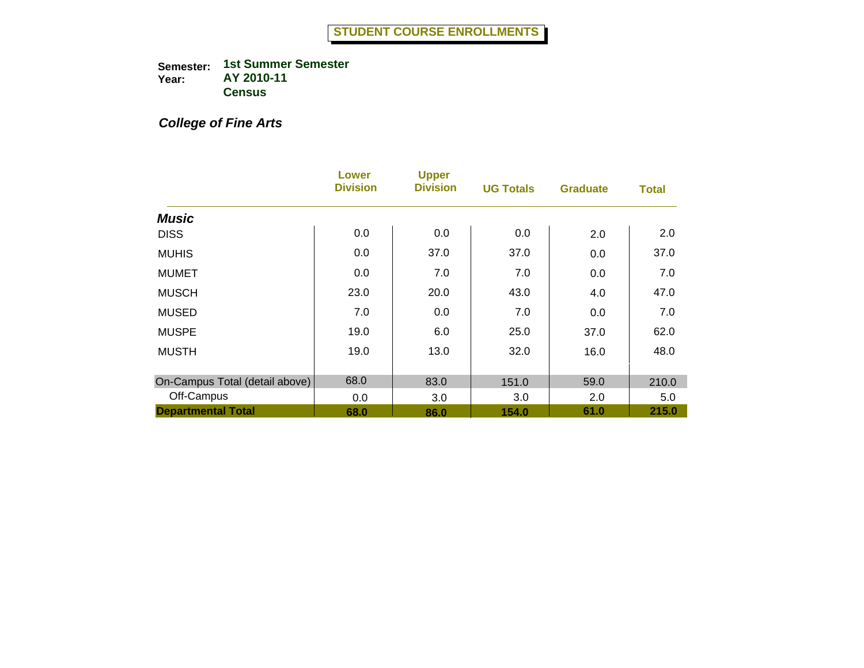# *College of Fine Arts*

|                                | Lower<br><b>Division</b> | <b>Upper</b><br><b>Division</b> | <b>UG Totals</b> | <b>Graduate</b> | <b>Total</b> |
|--------------------------------|--------------------------|---------------------------------|------------------|-----------------|--------------|
| <b>Music</b>                   |                          |                                 |                  |                 |              |
| <b>DISS</b>                    | 0.0                      | 0.0                             | 0.0              | 2.0             | 2.0          |
| <b>MUHIS</b>                   | 0.0                      | 37.0                            | 37.0             | 0.0             | 37.0         |
| <b>MUMET</b>                   | 0.0                      | 7.0                             | 7.0              | 0.0             | 7.0          |
| <b>MUSCH</b>                   | 23.0                     | 20.0                            | 43.0             | 4.0             | 47.0         |
| <b>MUSED</b>                   | 7.0                      | 0.0                             | 7.0              | 0.0             | 7.0          |
| <b>MUSPE</b>                   | 19.0                     | 6.0                             | 25.0             | 37.0            | 62.0         |
| <b>MUSTH</b>                   | 19.0                     | 13.0                            | 32.0             | 16.0            | 48.0         |
| On-Campus Total (detail above) | 68.0                     | 83.0                            | 151.0            | 59.0            | 210.0        |
| Off-Campus                     | 0.0                      | 3.0                             | 3.0              | 2.0             | 5.0          |
| <b>Departmental Total</b>      | 68.0                     | 86.0                            | 154.0            | 61.0            | 215.0        |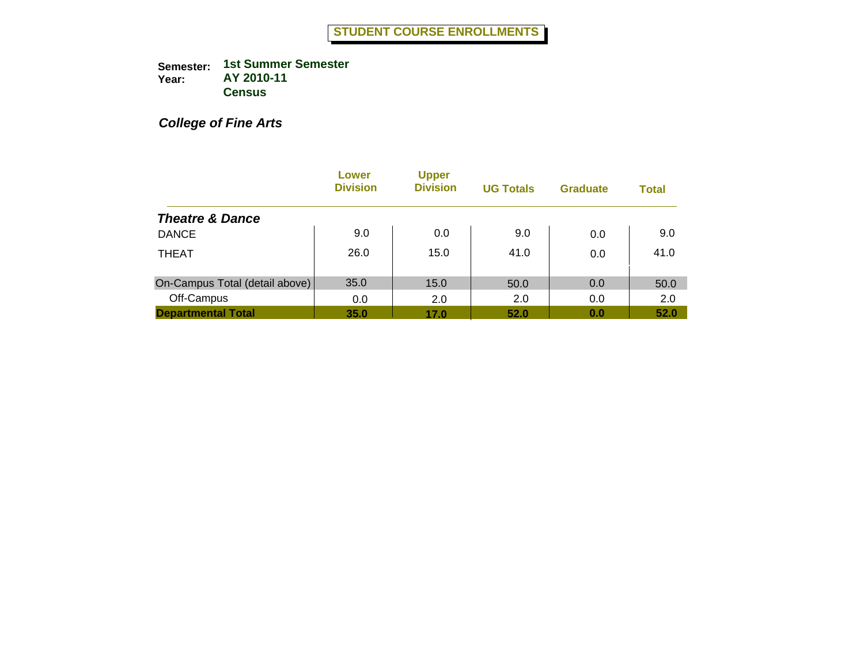*College of Fine Arts*

|                                | Lower<br><b>Division</b> | <b>Upper</b><br><b>Division</b> | <b>UG Totals</b> | <b>Graduate</b> | <b>Total</b> |
|--------------------------------|--------------------------|---------------------------------|------------------|-----------------|--------------|
| <b>Theatre &amp; Dance</b>     |                          |                                 |                  |                 |              |
| <b>DANCE</b>                   | 9.0                      | 0.0                             | 9.0              | 0.0             | 9.0          |
| <b>THEAT</b>                   | 26.0                     | 15.0                            | 41.0             | 0.0             | 41.0         |
| On-Campus Total (detail above) | 35.0                     | 15.0                            | 50.0             | 0.0             | 50.0         |
| Off-Campus                     | 0.0                      | 2.0                             | 2.0              | 0.0             | 2.0          |
| <b>Departmental Total</b>      | 35.0                     | 17.0                            | 52.0             | 0.0             | 52.0         |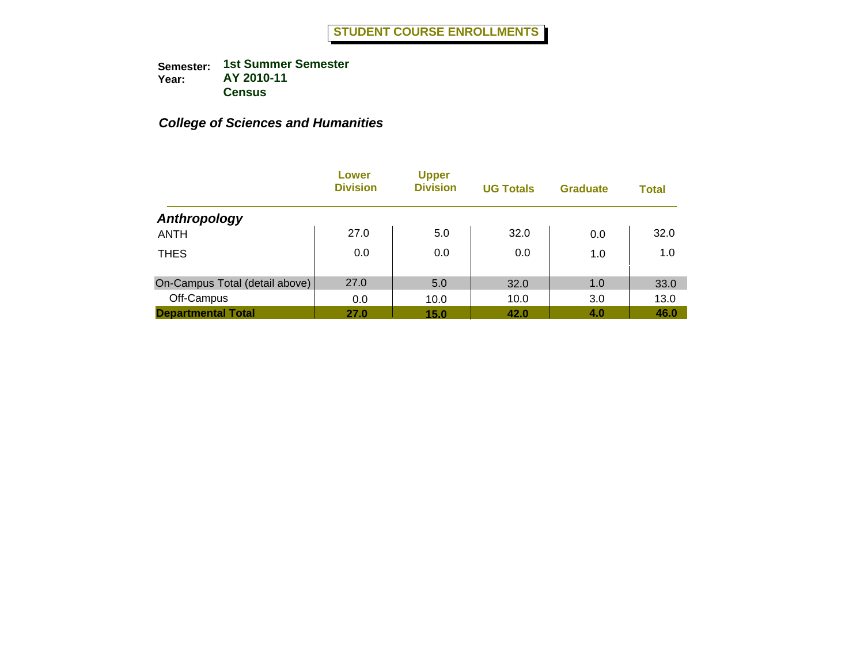|                                | Lower<br><b>Division</b> | <b>Upper</b><br><b>Division</b> | <b>UG Totals</b> | <b>Graduate</b> | <b>Total</b> |
|--------------------------------|--------------------------|---------------------------------|------------------|-----------------|--------------|
| Anthropology                   |                          |                                 |                  |                 |              |
| <b>ANTH</b>                    | 27.0                     | 5.0                             | 32.0             | 0.0             | 32.0         |
| <b>THES</b>                    | 0.0                      | 0.0                             | 0.0              | 1.0             | 1.0          |
| On-Campus Total (detail above) | 27.0                     | 5.0                             | 32.0             | 1.0             | 33.0         |
| Off-Campus                     | 0.0                      | 10.0                            | 10.0             | 3.0             | 13.0         |
| <b>Departmental Total</b>      | 27.0                     | 15.0                            | 42.0             | 4.0             | 46.0         |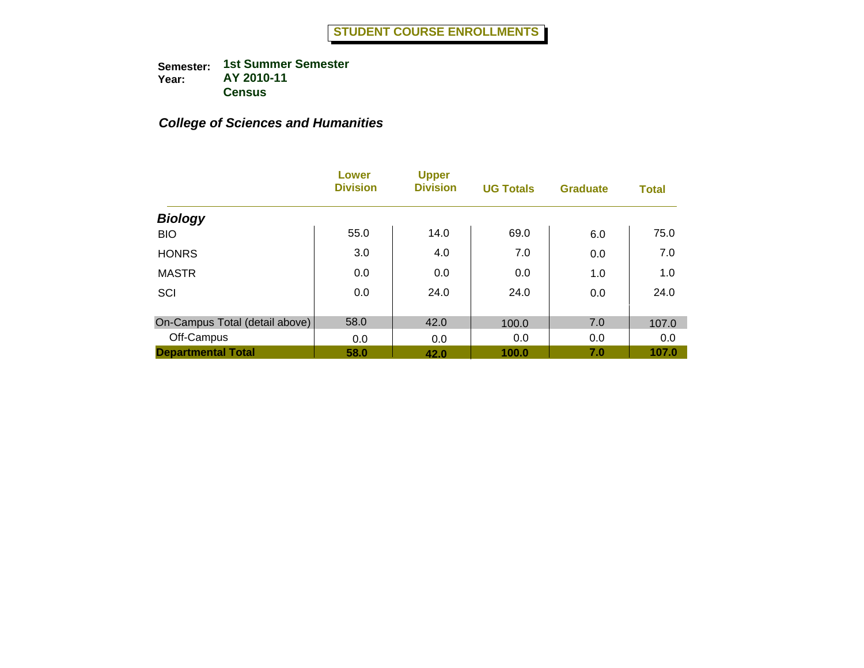|                                | <b>Lower</b><br><b>Division</b> | <b>Upper</b><br><b>Division</b> | <b>UG Totals</b> | <b>Graduate</b> | <b>Total</b> |
|--------------------------------|---------------------------------|---------------------------------|------------------|-----------------|--------------|
| <b>Biology</b>                 |                                 |                                 |                  |                 |              |
| <b>BIO</b>                     | 55.0                            | 14.0                            | 69.0             | 6.0             | 75.0         |
| <b>HONRS</b>                   | 3.0                             | 4.0                             | 7.0              | 0.0             | 7.0          |
| <b>MASTR</b>                   | 0.0                             | 0.0                             | 0.0              | 1.0             | 1.0          |
| SCI                            | 0.0                             | 24.0                            | 24.0             | 0.0             | 24.0         |
|                                |                                 |                                 |                  |                 |              |
| On-Campus Total (detail above) | 58.0                            | 42.0                            | 100.0            | 7.0             | 107.0        |
| Off-Campus                     | 0.0                             | 0.0                             | 0.0              | 0.0             | 0.0          |
| <b>Departmental Total</b>      | 58.0                            | 42.0                            | 100.0            | 7.0             | 107.0        |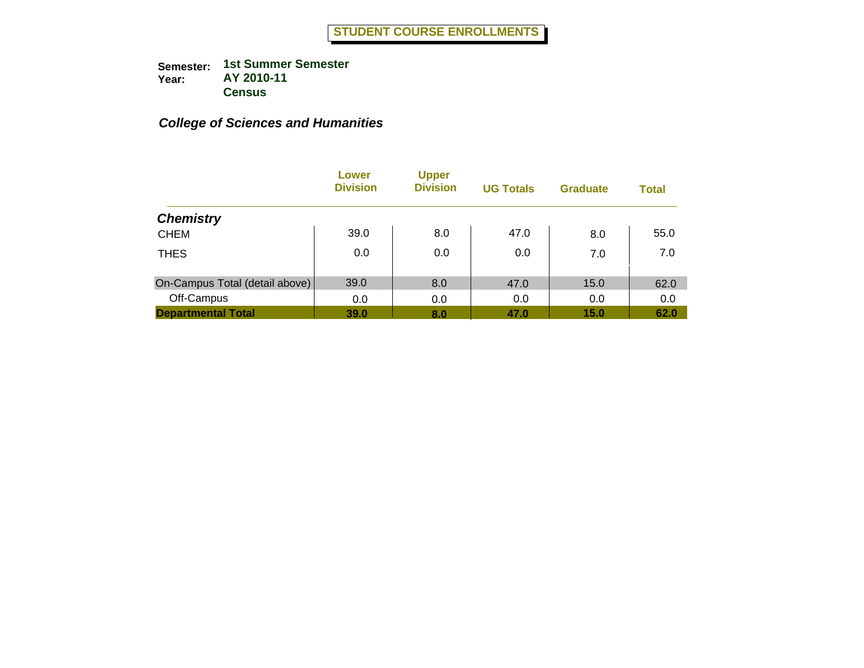|                                | Lower<br><b>Division</b> | <b>Upper</b><br><b>Division</b> | <b>UG Totals</b> | <b>Graduate</b> | <b>Total</b> |
|--------------------------------|--------------------------|---------------------------------|------------------|-----------------|--------------|
| <b>Chemistry</b>               |                          |                                 |                  |                 |              |
| <b>CHEM</b>                    | 39.0                     | 8.0                             | 47.0             | 8.0             | 55.0         |
| <b>THES</b>                    | 0.0                      | 0.0                             | 0.0              | 7.0             | 7.0          |
| On-Campus Total (detail above) | 39.0                     | 8.0                             | 47.0             | 15.0            | 62.0         |
| Off-Campus                     | 0.0                      | 0.0                             | 0.0              | 0.0             | 0.0          |
| <b>Departmental Total</b>      | 39.0                     | 8.0                             | 47.0             | 15.0            | 62.0         |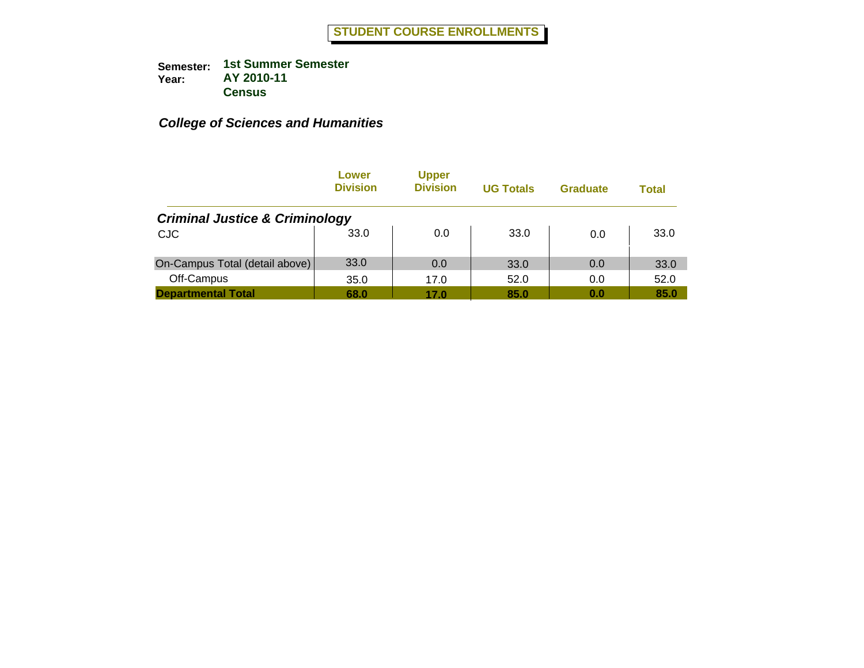|                                           | Lower<br><b>Division</b> | <b>Upper</b><br><b>Division</b> | <b>UG Totals</b> | <b>Graduate</b> | Total |
|-------------------------------------------|--------------------------|---------------------------------|------------------|-----------------|-------|
| <b>Criminal Justice &amp; Criminology</b> |                          |                                 |                  |                 |       |
| <b>CJC</b>                                | 33.0                     | 0.0                             | 33.0             | 0.0             | 33.0  |
| On-Campus Total (detail above)            | 33.0                     | 0.0                             | 33.0             | 0.0             | 33.0  |
| Off-Campus                                | 35.0                     | 17.0                            | 52.0             | 0.0             | 52.0  |
| <b>Departmental Total</b>                 | 68.0                     | 17.0                            | 85.0             | 0.0             | 85.0  |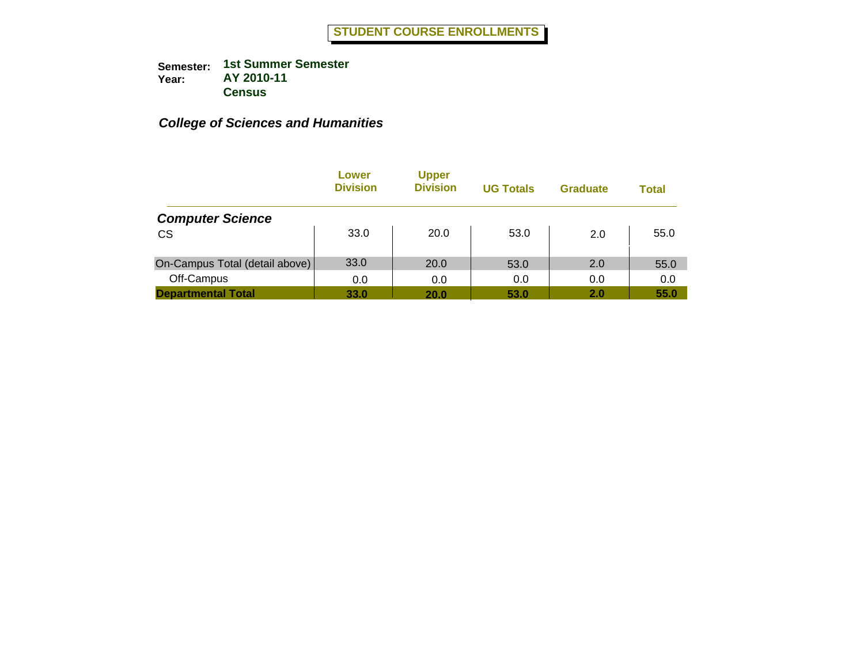|                                | Lower<br><b>Division</b> | <b>Upper</b><br><b>Division</b> | <b>UG Totals</b> | <b>Graduate</b> | Total |
|--------------------------------|--------------------------|---------------------------------|------------------|-----------------|-------|
| <b>Computer Science</b>        |                          |                                 |                  |                 |       |
| <b>CS</b>                      | 33.0                     | 20.0                            | 53.0             | 2.0             | 55.0  |
| On-Campus Total (detail above) | 33.0                     | 20.0                            | 53.0             | 2.0             | 55.0  |
| Off-Campus                     | 0.0                      | 0.0                             | 0.0              | 0.0             | 0.0   |
| <b>Departmental Total</b>      | 33.0                     | 20.0                            | 53.0             | 2.0             | 55.0  |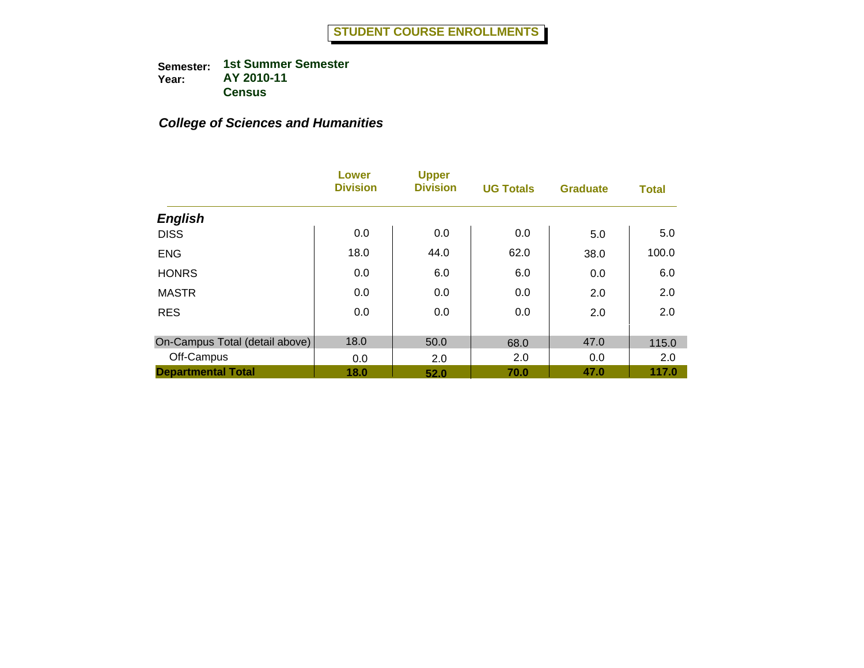|                                | <b>Lower</b><br><b>Division</b> | <b>Upper</b><br><b>Division</b> | <b>UG Totals</b> | <b>Graduate</b> | <b>Total</b> |
|--------------------------------|---------------------------------|---------------------------------|------------------|-----------------|--------------|
| <b>English</b>                 |                                 |                                 |                  |                 |              |
| <b>DISS</b>                    | 0.0                             | 0.0                             | 0.0              | 5.0             | 5.0          |
| <b>ENG</b>                     | 18.0                            | 44.0                            | 62.0             | 38.0            | 100.0        |
| <b>HONRS</b>                   | 0.0                             | 6.0                             | 6.0              | 0.0             | 6.0          |
| <b>MASTR</b>                   | 0.0                             | 0.0                             | 0.0              | 2.0             | 2.0          |
| <b>RES</b>                     | 0.0                             | 0.0                             | 0.0              | 2.0             | 2.0          |
| On-Campus Total (detail above) | 18.0                            | 50.0                            | 68.0             | 47.0            | 115.0        |
| Off-Campus                     | 0.0                             | 2.0                             | 2.0              | 0.0             | 2.0          |
| <b>Departmental Total</b>      | 18.0                            | 52.0                            | 70.0             | 47.0            | 117.0        |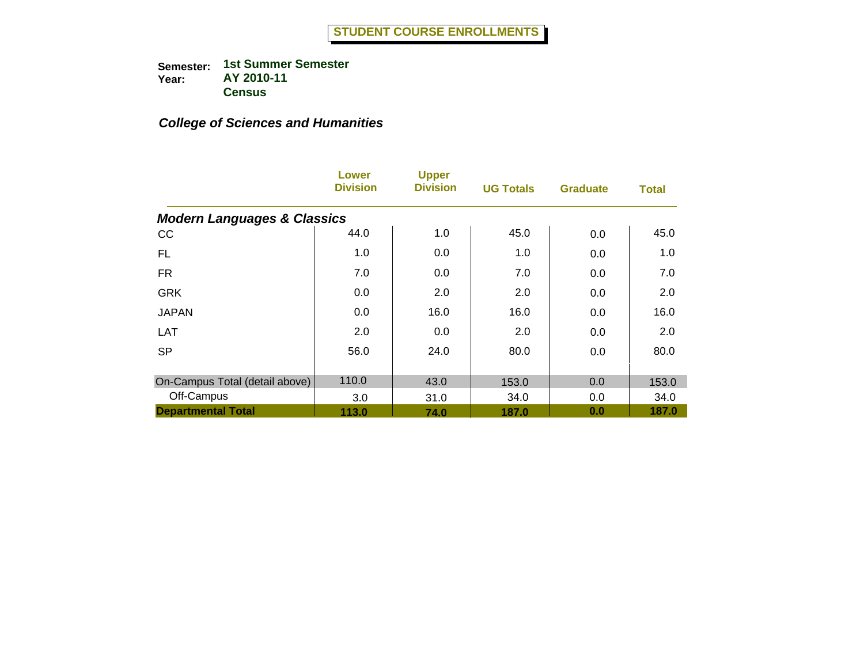|                                        | <b>Lower</b><br><b>Division</b> | <b>Upper</b><br><b>Division</b> | <b>UG Totals</b> | <b>Graduate</b> | <b>Total</b> |
|----------------------------------------|---------------------------------|---------------------------------|------------------|-----------------|--------------|
| <b>Modern Languages &amp; Classics</b> |                                 |                                 |                  |                 |              |
| cc                                     | 44.0                            | 1.0                             | 45.0             | 0.0             | 45.0         |
| <b>FL</b>                              | 1.0                             | 0.0                             | 1.0              | 0.0             | 1.0          |
| <b>FR</b>                              | 7.0                             | 0.0                             | 7.0              | 0.0             | 7.0          |
| <b>GRK</b>                             | 0.0                             | 2.0                             | 2.0              | 0.0             | 2.0          |
| <b>JAPAN</b>                           | 0.0                             | 16.0                            | 16.0             | 0.0             | 16.0         |
| <b>LAT</b>                             | 2.0                             | 0.0                             | 2.0              | 0.0             | 2.0          |
| <b>SP</b>                              | 56.0                            | 24.0                            | 80.0             | 0.0             | 80.0         |
| On-Campus Total (detail above)         | 110.0                           | 43.0                            | 153.0            | 0.0             | 153.0        |
| Off-Campus                             | 3.0                             | 31.0                            | 34.0             | 0.0             | 34.0         |
| <b>Departmental Total</b>              | 113.0                           | 74.0                            | 187.0            | 0.0             | 187.0        |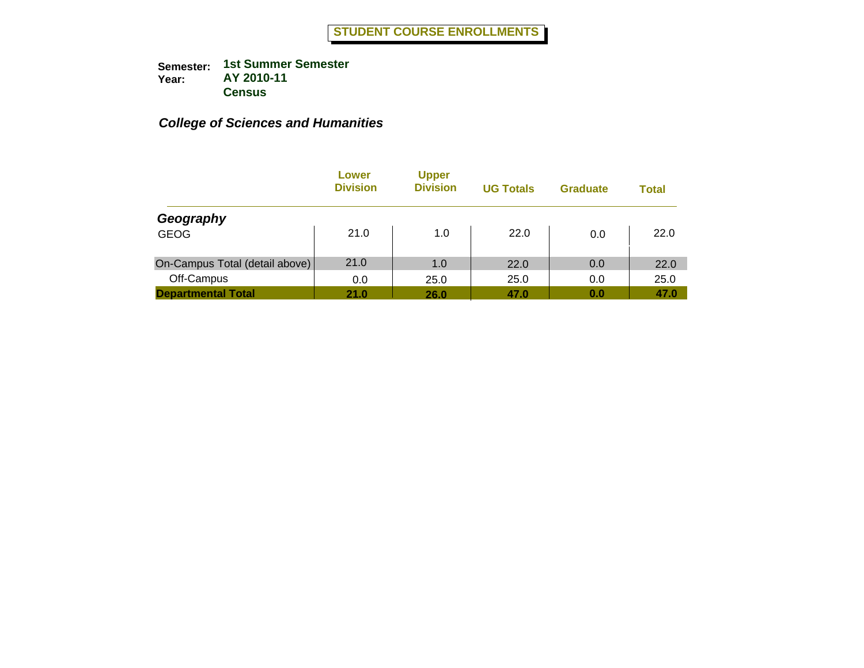|                                | Lower<br><b>Division</b> | <b>Upper</b><br><b>Division</b> | <b>UG Totals</b> | <b>Graduate</b> | <b>Total</b> |
|--------------------------------|--------------------------|---------------------------------|------------------|-----------------|--------------|
| Geography                      |                          |                                 |                  |                 |              |
| <b>GEOG</b>                    | 21.0                     | 1.0                             | 22.0             | 0.0             | 22.0         |
| On-Campus Total (detail above) | 21.0                     | 1.0                             | 22.0             | 0.0             | 22.0         |
| Off-Campus                     | 0.0                      | 25.0                            | 25.0             | 0.0             | 25.0         |
| <b>Departmental Total</b>      | 21.0                     | 26.0                            | 47.0             | 0.0             | 47.0         |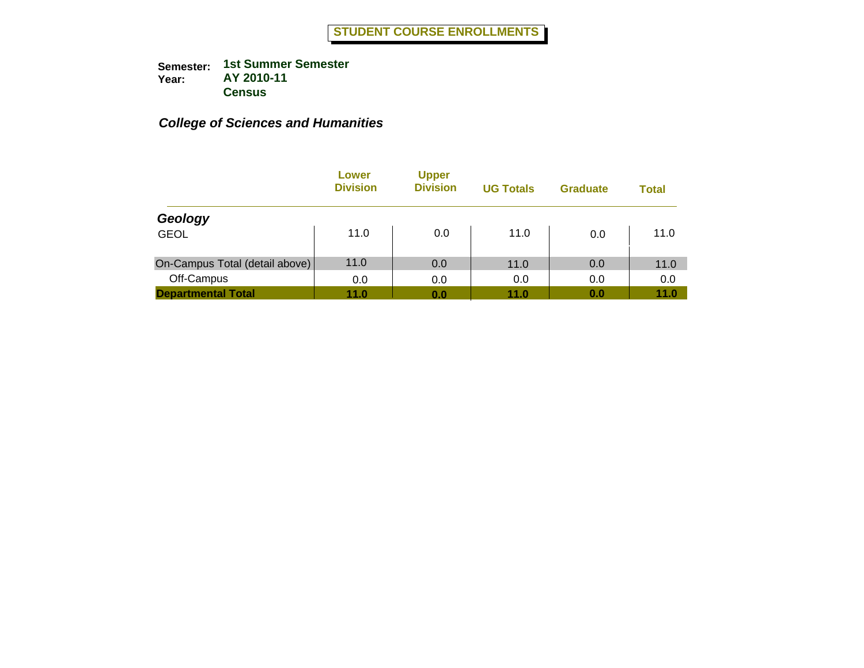|                                | Lower<br><b>Division</b> | <b>Upper</b><br><b>Division</b> | <b>UG Totals</b> | <b>Graduate</b> | Total |
|--------------------------------|--------------------------|---------------------------------|------------------|-----------------|-------|
| Geology                        |                          |                                 |                  |                 |       |
| <b>GEOL</b>                    | 11.0                     | 0.0                             | 11.0             | 0.0             | 11.0  |
| On-Campus Total (detail above) | 11.0                     | 0.0                             | 11.0             | 0.0             | 11.0  |
| Off-Campus                     | 0.0                      | 0.0                             | 0.0              | 0.0             | 0.0   |
| <b>Departmental Total</b>      | 11.0                     | 0.0                             | 11.0             | 0.0             | 11.0  |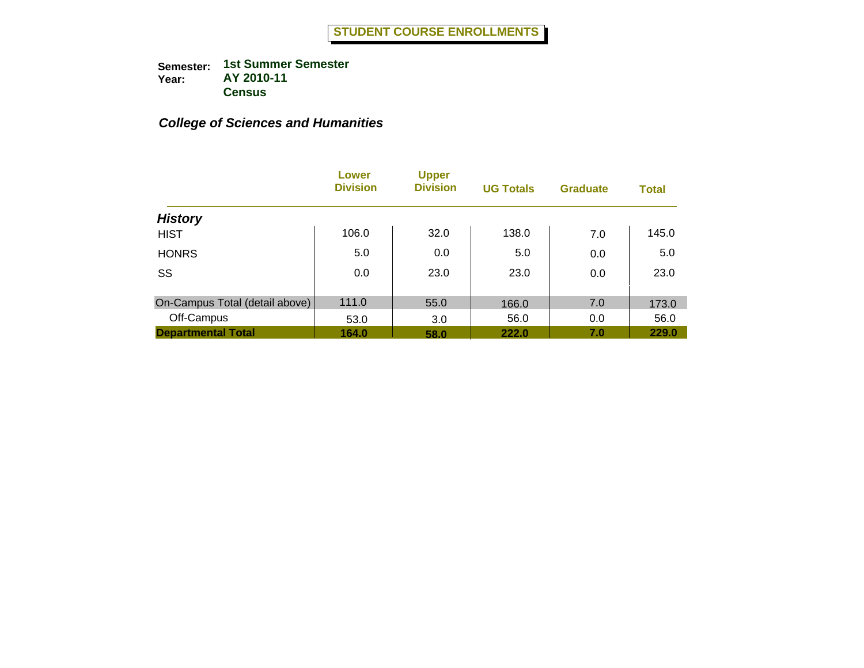|                                | Lower<br><b>Division</b> | <b>Upper</b><br><b>Division</b> | <b>UG Totals</b> | <b>Graduate</b> | <b>Total</b> |
|--------------------------------|--------------------------|---------------------------------|------------------|-----------------|--------------|
| <b>History</b>                 |                          |                                 |                  |                 |              |
| <b>HIST</b>                    | 106.0                    | 32.0                            | 138.0            | 7.0             | 145.0        |
| <b>HONRS</b>                   | 5.0                      | 0.0                             | 5.0              | 0.0             | 5.0          |
| SS                             | 0.0                      | 23.0                            | 23.0             | 0.0             | 23.0         |
| On-Campus Total (detail above) | 111.0                    | 55.0                            | 166.0            | 7.0             | 173.0        |
| Off-Campus                     | 53.0                     | 3.0                             | 56.0             | 0.0             | 56.0         |
| <b>Departmental Total</b>      | 164.0                    | 58.0                            | 222.0            | 7.0             | 229.0        |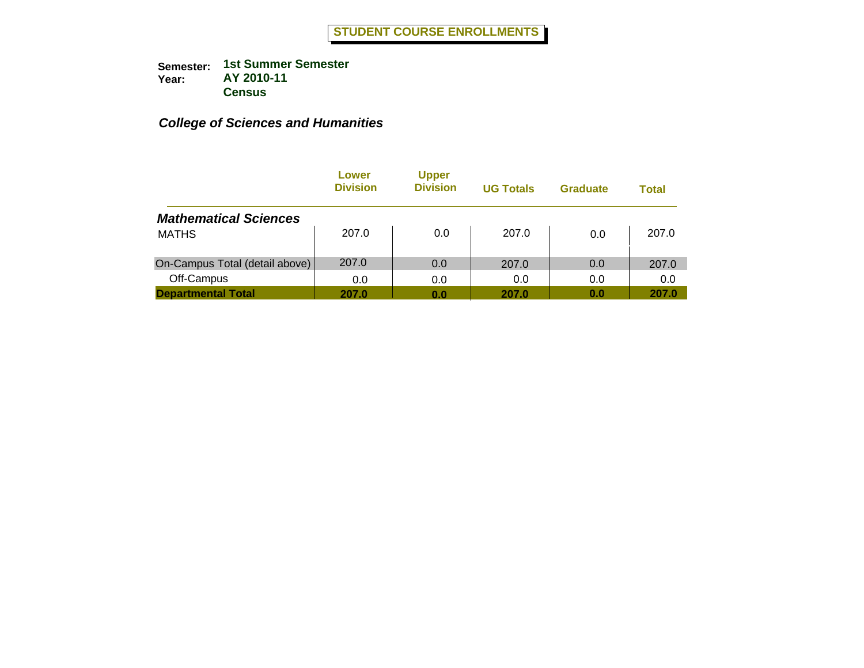|                                | Lower<br><b>Division</b> | <b>Upper</b><br><b>Division</b> | <b>UG Totals</b> | <b>Graduate</b> | Total |
|--------------------------------|--------------------------|---------------------------------|------------------|-----------------|-------|
| <b>Mathematical Sciences</b>   |                          |                                 |                  |                 |       |
| <b>MATHS</b>                   | 207.0                    | 0.0                             | 207.0            | 0.0             | 207.0 |
| On-Campus Total (detail above) | 207.0                    | 0.0                             | 207.0            | 0.0             | 207.0 |
| Off-Campus                     | 0.0                      | 0.0                             | 0.0              | 0.0             | 0.0   |
| <b>Departmental Total</b>      | 207.0                    | 0.0                             | 207.0            | 0.0             | 207.0 |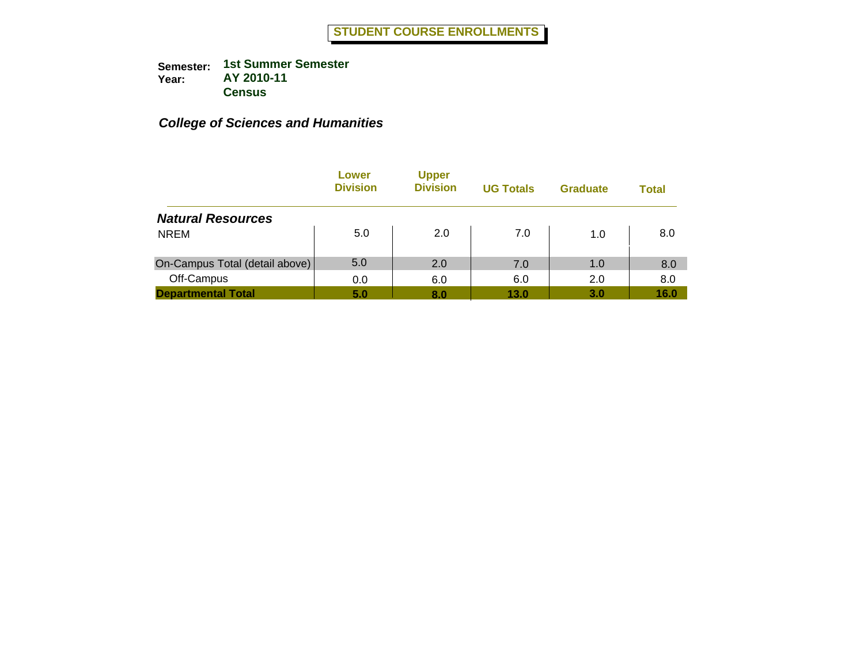|                                | Lower<br><b>Division</b> | <b>Upper</b><br><b>Division</b> | <b>UG Totals</b> | <b>Graduate</b> | Total |
|--------------------------------|--------------------------|---------------------------------|------------------|-----------------|-------|
| <b>Natural Resources</b>       |                          |                                 |                  |                 |       |
| <b>NREM</b>                    | 5.0                      | 2.0                             | 7.0              | 1.0             | 8.0   |
| On-Campus Total (detail above) | 5.0                      | 2.0                             | 7.0              | 1.0             | 8.0   |
| Off-Campus                     | 0.0                      | 6.0                             | 6.0              | 2.0             | 8.0   |
| <b>Departmental Total</b>      | 5.0                      | 8.0                             | 13.0             | 3.0             | 16.0  |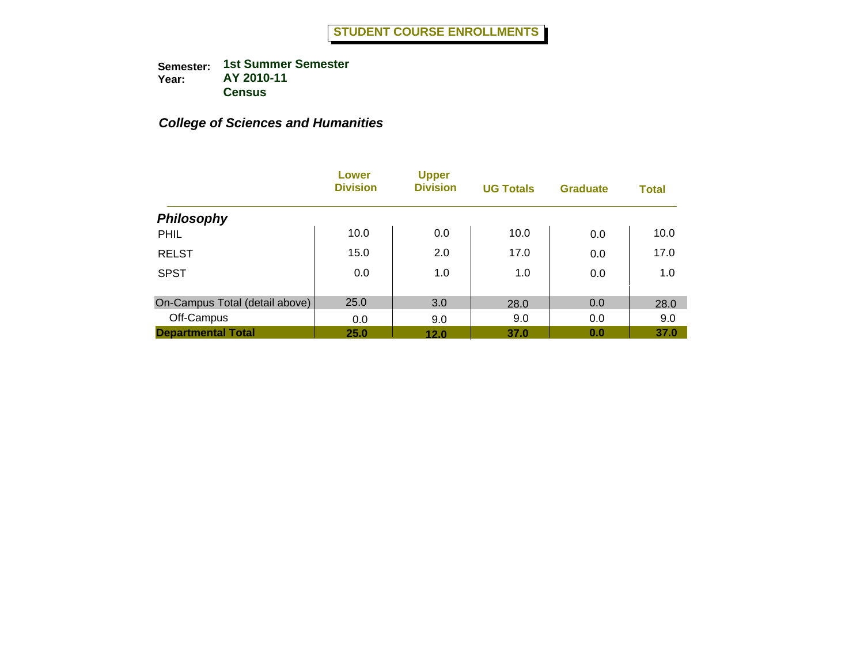|                                | Lower<br><b>Division</b> | <b>Upper</b><br><b>Division</b> | <b>UG Totals</b> | <b>Graduate</b> | <b>Total</b> |
|--------------------------------|--------------------------|---------------------------------|------------------|-----------------|--------------|
| <b>Philosophy</b>              |                          |                                 |                  |                 |              |
| PHIL                           | 10.0                     | 0.0                             | 10.0             | 0.0             | 10.0         |
| <b>RELST</b>                   | 15.0                     | 2.0                             | 17.0             | 0.0             | 17.0         |
| <b>SPST</b>                    | 0.0                      | 1.0                             | 1.0              | 0.0             | 1.0          |
| On-Campus Total (detail above) | 25.0                     | 3.0                             | 28.0             | 0.0             | 28.0         |
| Off-Campus                     | 0.0                      | 9.0                             | 9.0              | 0.0             | 9.0          |
| <b>Departmental Total</b>      | 25.0                     | 12.0                            | 37.0             | 0.0             | 37.0         |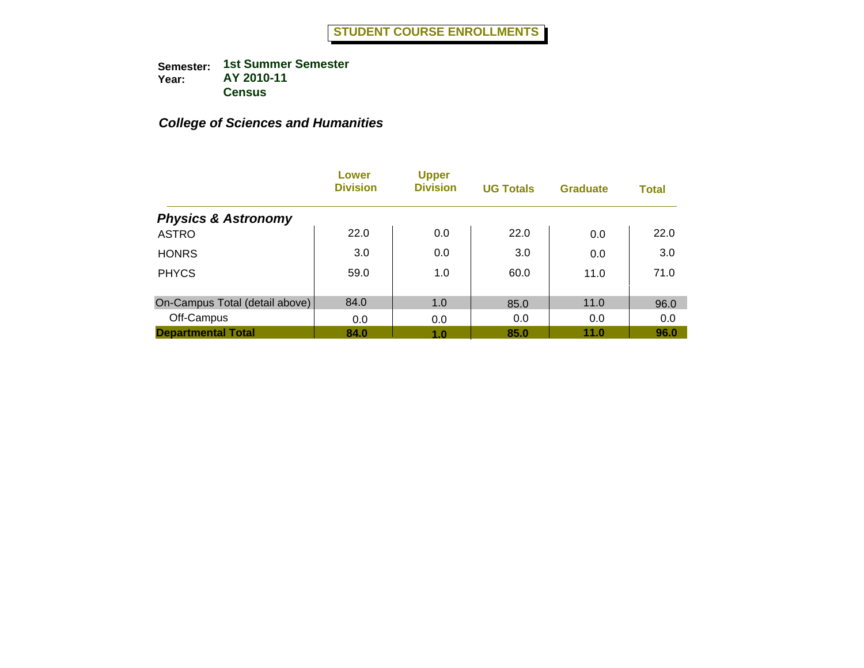|                                | Lower<br><b>Division</b> | <b>Upper</b><br><b>Division</b> | <b>UG Totals</b> | <b>Graduate</b> | <b>Total</b> |
|--------------------------------|--------------------------|---------------------------------|------------------|-----------------|--------------|
| <b>Physics &amp; Astronomy</b> |                          |                                 |                  |                 |              |
| <b>ASTRO</b>                   | 22.0                     | 0.0                             | 22.0             | 0.0             | 22.0         |
| <b>HONRS</b>                   | 3.0                      | 0.0                             | 3.0              | 0.0             | 3.0          |
| <b>PHYCS</b>                   | 59.0                     | 1.0                             | 60.0             | 11.0            | 71.0         |
| On-Campus Total (detail above) | 84.0                     | 1.0                             | 85.0             | 11.0            | 96.0         |
| Off-Campus                     | 0.0                      | 0.0                             | 0.0              | 0.0             | 0.0          |
| <b>Departmental Total</b>      | 84.0                     | 1.0                             | 85.0             | 11.0            | 96.0         |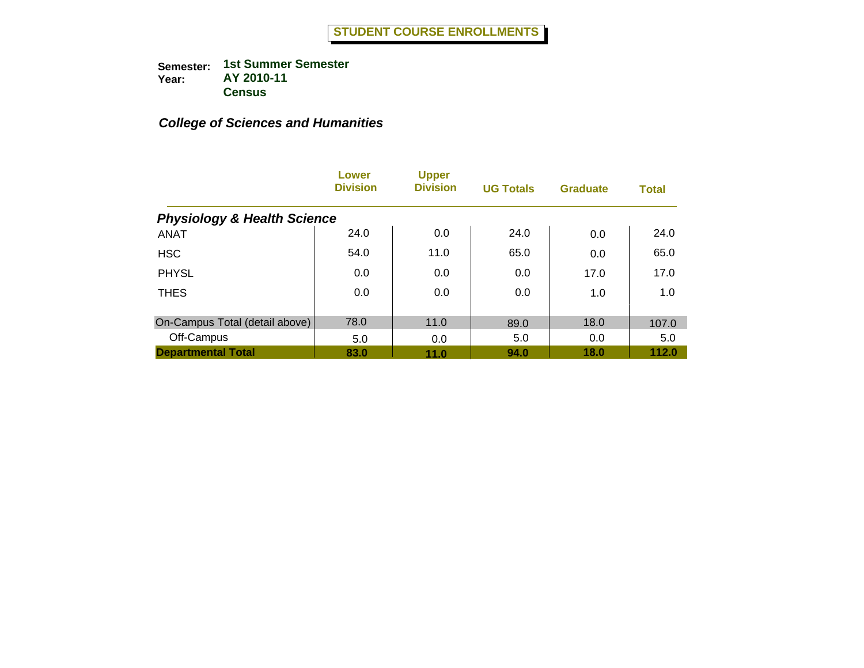|                                        | Lower<br><b>Division</b> | <b>Upper</b><br><b>Division</b> | <b>UG Totals</b> | <b>Graduate</b> | <b>Total</b> |
|----------------------------------------|--------------------------|---------------------------------|------------------|-----------------|--------------|
| <b>Physiology &amp; Health Science</b> |                          |                                 |                  |                 |              |
| <b>ANAT</b>                            | 24.0                     | 0.0                             | 24.0             | 0.0             | 24.0         |
| <b>HSC</b>                             | 54.0                     | 11.0                            | 65.0             | 0.0             | 65.0         |
| <b>PHYSL</b>                           | 0.0                      | 0.0                             | 0.0              | 17.0            | 17.0         |
| <b>THES</b>                            | 0.0                      | 0.0                             | 0.0              | 1.0             | 1.0          |
|                                        |                          |                                 |                  |                 |              |
| On-Campus Total (detail above)         | 78.0                     | 11.0                            | 89.0             | 18.0            | 107.0        |
| Off-Campus                             | 5.0                      | 0.0                             | 5.0              | 0.0             | 5.0          |
| <b>Departmental Total</b>              | 83.0                     | 11.0                            | 94.0             | 18.0            | 112.0        |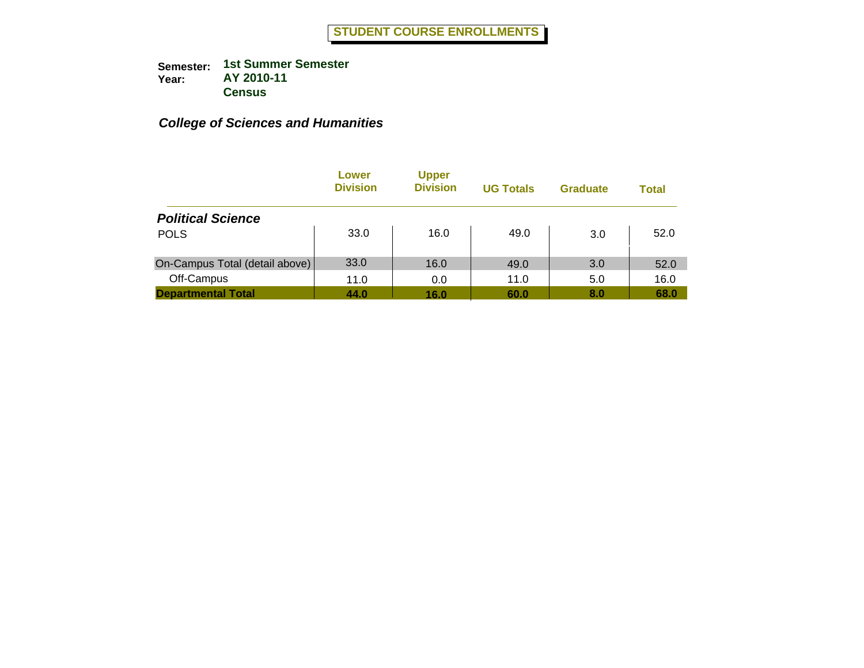|                                | Lower<br><b>Division</b> | <b>Upper</b><br><b>Division</b> | <b>UG Totals</b> | <b>Graduate</b> | Total |
|--------------------------------|--------------------------|---------------------------------|------------------|-----------------|-------|
| <b>Political Science</b>       |                          |                                 |                  |                 |       |
| <b>POLS</b>                    | 33.0                     | 16.0                            | 49.0             | 3.0             | 52.0  |
| On-Campus Total (detail above) | 33.0                     | 16.0                            | 49.0             | 3.0             | 52.0  |
| Off-Campus                     | 11.0                     | 0.0                             | 11.0             | 5.0             | 16.0  |
| <b>Departmental Total</b>      | 44.0                     | 16.0                            | 60.0             | 8.0             | 68.0  |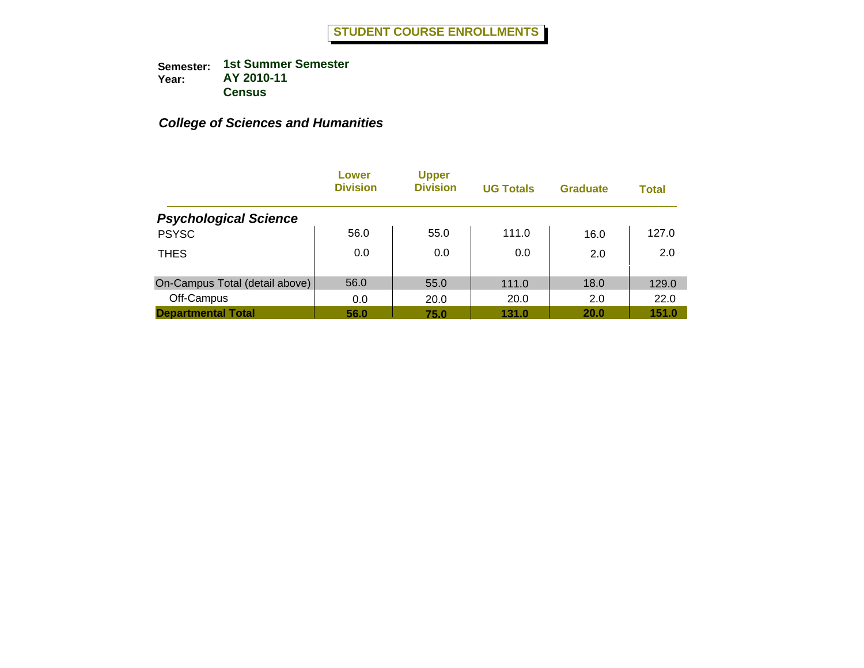|                                | Lower<br><b>Division</b> | <b>Upper</b><br><b>Division</b> | <b>UG Totals</b> | <b>Graduate</b> | <b>Total</b> |
|--------------------------------|--------------------------|---------------------------------|------------------|-----------------|--------------|
| <b>Psychological Science</b>   |                          |                                 |                  |                 |              |
| <b>PSYSC</b>                   | 56.0                     | 55.0                            | 111.0            | 16.0            | 127.0        |
| <b>THES</b>                    | 0.0                      | 0.0                             | 0.0              | 2.0             | 2.0          |
| On-Campus Total (detail above) | 56.0                     | 55.0                            | 111.0            | 18.0            | 129.0        |
| Off-Campus                     | 0.0                      | 20.0                            | 20.0             | 2.0             | 22.0         |
| <b>Departmental Total</b>      | 56.0                     | 75.0                            | 131.0            | 20.0            | 151.0        |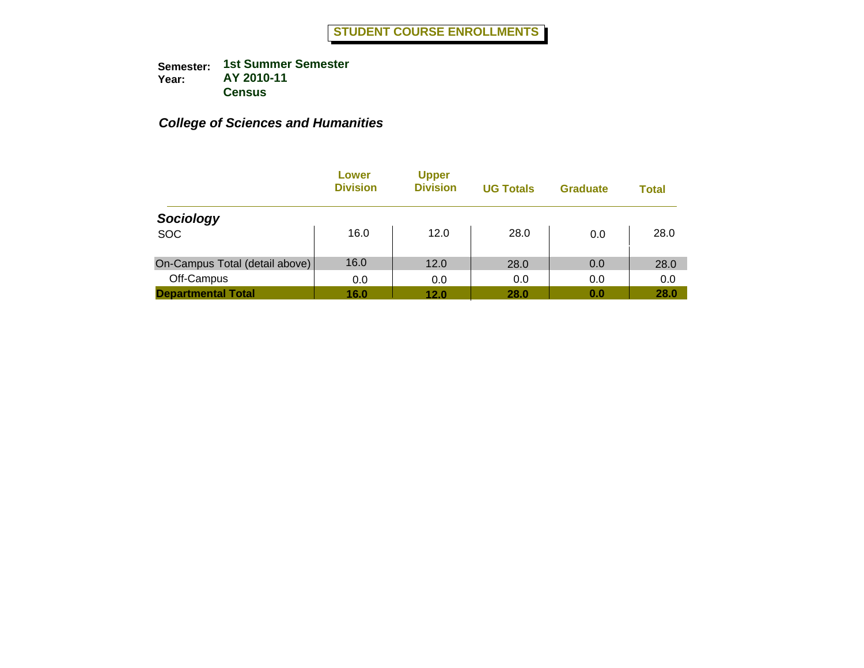|                                | Lower<br><b>Division</b> | <b>Upper</b><br><b>Division</b> | <b>UG Totals</b> | <b>Graduate</b> | Total |
|--------------------------------|--------------------------|---------------------------------|------------------|-----------------|-------|
| Sociology                      |                          |                                 |                  |                 |       |
| <b>SOC</b>                     | 16.0                     | 12.0                            | 28.0             | 0.0             | 28.0  |
| On-Campus Total (detail above) | 16.0                     | 12.0                            | 28.0             | 0.0             | 28.0  |
| Off-Campus                     | 0.0                      | 0.0                             | 0.0              | 0.0             | 0.0   |
| <b>Departmental Total</b>      | 16.0                     | 12.0                            | 28.0             | 0.0             | 28.0  |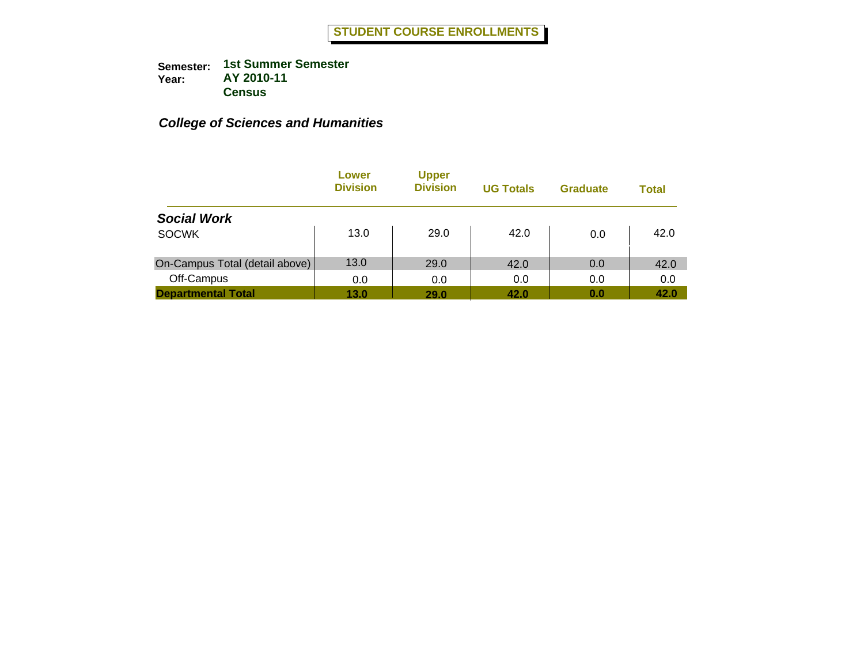|                                | Lower<br><b>Division</b> | <b>Upper</b><br><b>Division</b> | <b>UG Totals</b> | <b>Graduate</b> | <b>Total</b> |
|--------------------------------|--------------------------|---------------------------------|------------------|-----------------|--------------|
| <b>Social Work</b>             |                          |                                 |                  |                 |              |
| <b>SOCWK</b>                   | 13.0                     | 29.0                            | 42.0             | 0.0             | 42.0         |
| On-Campus Total (detail above) | 13.0                     | 29.0                            | 42.0             | 0.0             | 42.0         |
| Off-Campus                     | 0.0                      | 0.0                             | 0.0              | 0.0             | 0.0          |
| <b>Departmental Total</b>      | 13.0                     | 29.0                            | 42.0             | 0.0             | 42.0         |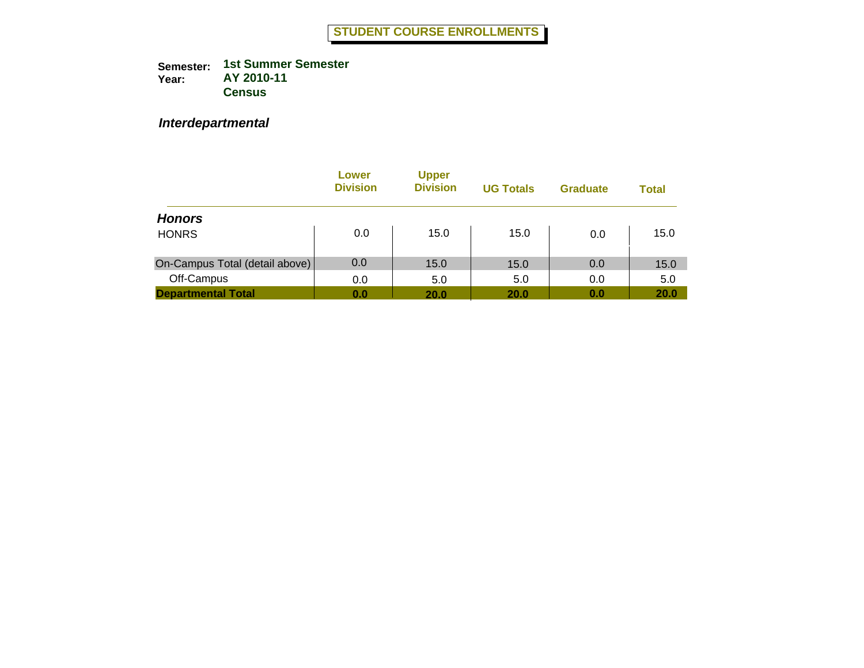*Interdepartmental*

|                                | Lower<br><b>Division</b> | <b>Upper</b><br><b>Division</b> | <b>UG Totals</b> | <b>Graduate</b> | Total |
|--------------------------------|--------------------------|---------------------------------|------------------|-----------------|-------|
| <b>Honors</b>                  |                          |                                 |                  |                 |       |
| <b>HONRS</b>                   | 0.0                      | 15.0                            | 15.0             | 0.0             | 15.0  |
| On-Campus Total (detail above) | 0.0                      | 15.0                            | 15.0             | 0.0             | 15.0  |
| Off-Campus                     | 0.0                      | 5.0                             | 5.0              | 0.0             | 5.0   |
| <b>Departmental Total</b>      | 0.0                      | 20.0                            | 20.0             | 0.0             | 20.0  |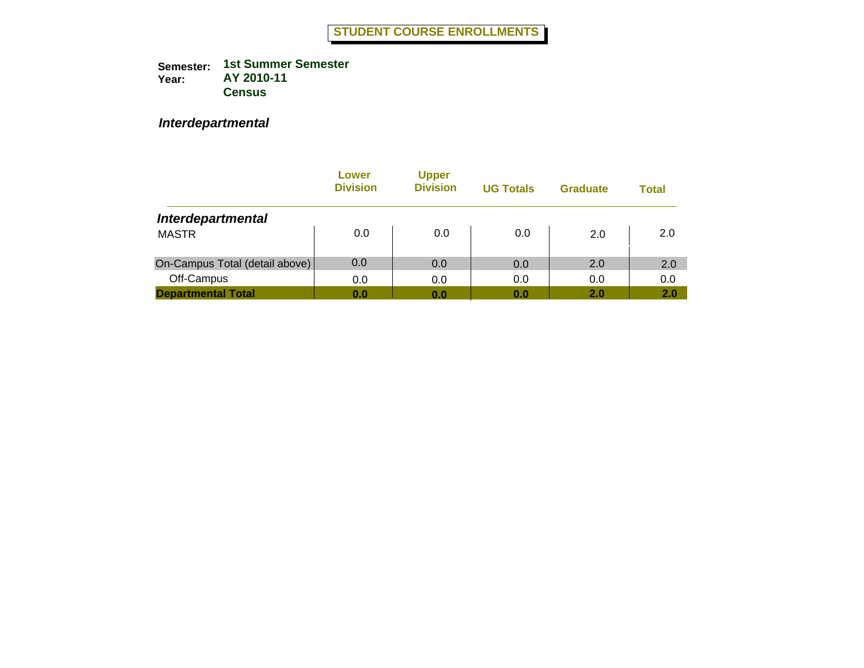*Interdepartmental*

|                                | Lower<br><b>Division</b> | <b>Upper</b><br><b>Division</b> | <b>UG Totals</b> | <b>Graduate</b> | <b>Total</b> |
|--------------------------------|--------------------------|---------------------------------|------------------|-----------------|--------------|
| <b>Interdepartmental</b>       |                          |                                 |                  |                 |              |
| <b>MASTR</b>                   | 0.0                      | 0.0                             | 0.0              | 2.0             | 2.0          |
| On-Campus Total (detail above) | 0.0                      | 0.0                             | 0.0              | 2.0             | 2.0          |
| Off-Campus                     | 0.0                      | 0.0                             | 0.0              | 0.0             | 0.0          |
| <b>Departmental Total</b>      | 0.0                      | 0.0                             | 0.0              | 2.0             | 2.0          |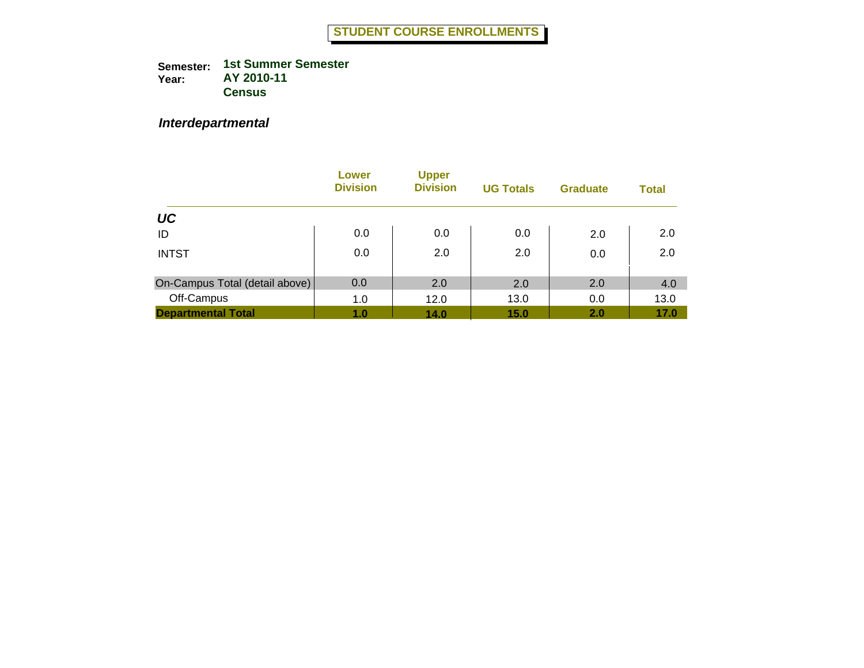#### *Interdepartmental*

|                                | Lower<br><b>Division</b> | <b>Upper</b><br><b>Division</b> | <b>UG Totals</b> | <b>Graduate</b> | <b>Total</b> |
|--------------------------------|--------------------------|---------------------------------|------------------|-----------------|--------------|
| UC                             |                          |                                 |                  |                 |              |
| ID                             | 0.0                      | 0.0                             | 0.0              | 2.0             | 2.0          |
| <b>INTST</b>                   | 0.0                      | 2.0                             | 2.0              | 0.0             | 2.0          |
| On-Campus Total (detail above) | 0.0                      | 2.0                             | 2.0              | 2.0             | 4.0          |
| Off-Campus                     | 1.0                      | 12.0                            | 13.0             | 0.0             | 13.0         |
| <b>Departmental Total</b>      | 1.0                      | 14.0                            | 15.0             | 2.0             | 17.0         |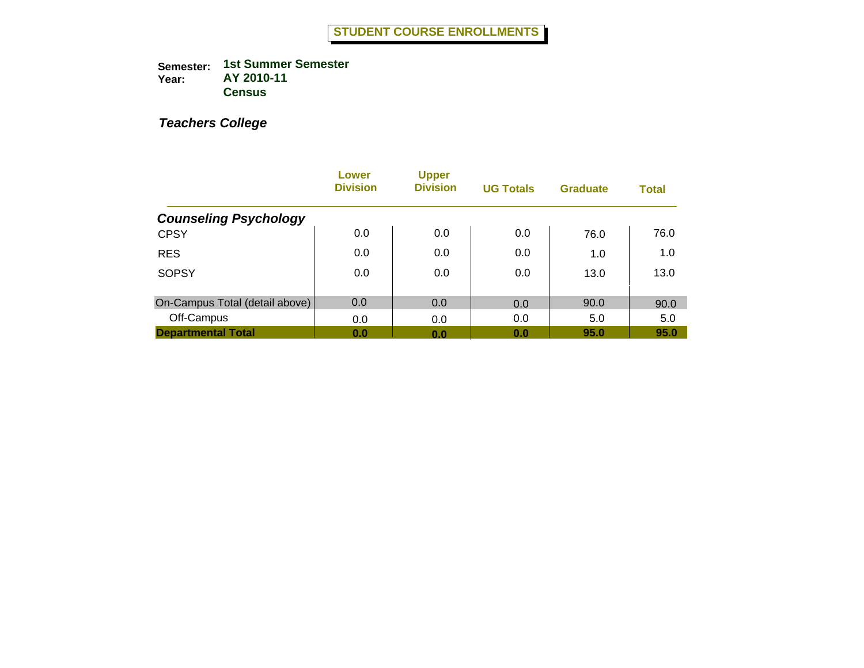|                                | Lower<br><b>Division</b> | <b>Upper</b><br><b>Division</b> | <b>UG Totals</b> | <b>Graduate</b> | <b>Total</b> |
|--------------------------------|--------------------------|---------------------------------|------------------|-----------------|--------------|
| <b>Counseling Psychology</b>   |                          |                                 |                  |                 |              |
| <b>CPSY</b>                    | 0.0                      | 0.0                             | 0.0              | 76.0            | 76.0         |
| <b>RES</b>                     | 0.0                      | 0.0                             | 0.0              | 1.0             | 1.0          |
| <b>SOPSY</b>                   | 0.0                      | 0.0                             | 0.0              | 13.0            | 13.0         |
| On-Campus Total (detail above) | 0.0                      | 0.0                             | 0.0              | 90.0            | 90.0         |
| Off-Campus                     | 0.0                      | 0.0                             | 0.0              | 5.0             | 5.0          |
| <b>Departmental Total</b>      | 0.0                      | 0.0                             | 0.0              | 95.0            | 95.0         |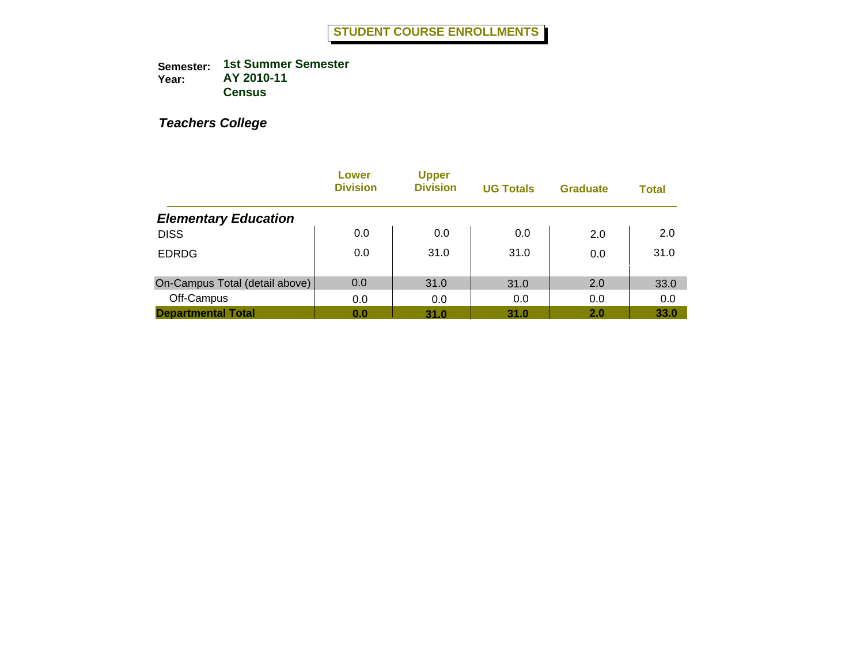|                                | Lower<br><b>Division</b> | <b>Upper</b><br><b>Division</b> | <b>UG Totals</b> | <b>Graduate</b> | <b>Total</b> |
|--------------------------------|--------------------------|---------------------------------|------------------|-----------------|--------------|
| <b>Elementary Education</b>    |                          |                                 |                  |                 |              |
| <b>DISS</b>                    | 0.0                      | 0.0                             | 0.0              | 2.0             | 2.0          |
| <b>EDRDG</b>                   | 0.0                      | 31.0                            | 31.0             | 0.0             | 31.0         |
| On-Campus Total (detail above) | 0.0                      | 31.0                            | 31.0             | 2.0             | 33.0         |
| Off-Campus                     | 0.0                      | 0.0                             | 0.0              | 0.0             | 0.0          |
| <b>Departmental Total</b>      | 0.0                      | 31.0                            | 31.0             | 2.0             | 33.0         |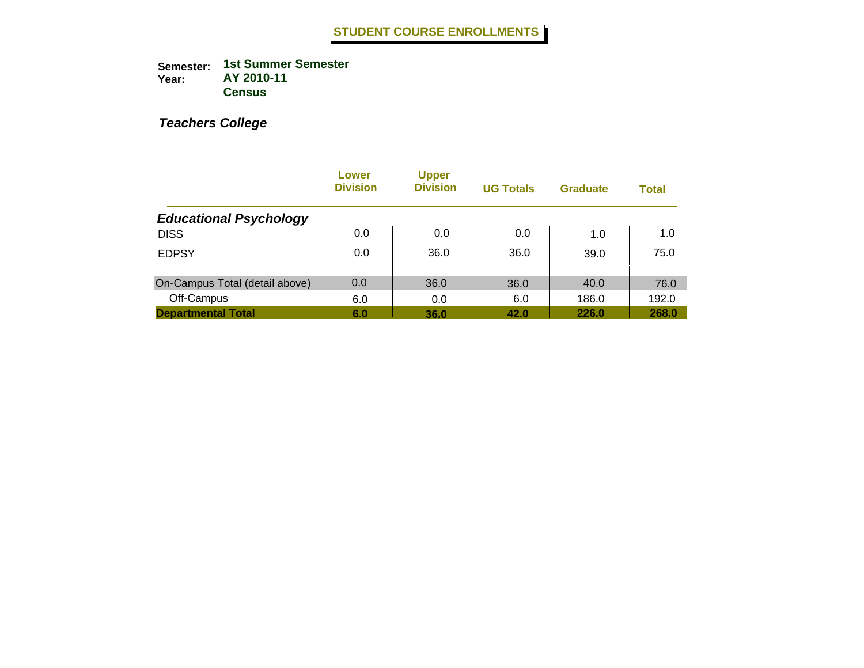|                                | Lower<br><b>Division</b> | <b>Upper</b><br><b>Division</b> | <b>UG Totals</b> | <b>Graduate</b> | <b>Total</b> |
|--------------------------------|--------------------------|---------------------------------|------------------|-----------------|--------------|
| <b>Educational Psychology</b>  |                          |                                 |                  |                 |              |
| <b>DISS</b>                    | 0.0                      | 0.0                             | 0.0              | 1.0             | 1.0          |
| <b>EDPSY</b>                   | 0.0                      | 36.0                            | 36.0             | 39.0            | 75.0         |
| On-Campus Total (detail above) | 0.0                      | 36.0                            | 36.0             | 40.0            | 76.0         |
| Off-Campus                     | 6.0                      | 0.0                             | 6.0              | 186.0           | 192.0        |
| <b>Departmental Total</b>      | 6.0                      | 36.0                            | 42.0             | 226.0           | 268.0        |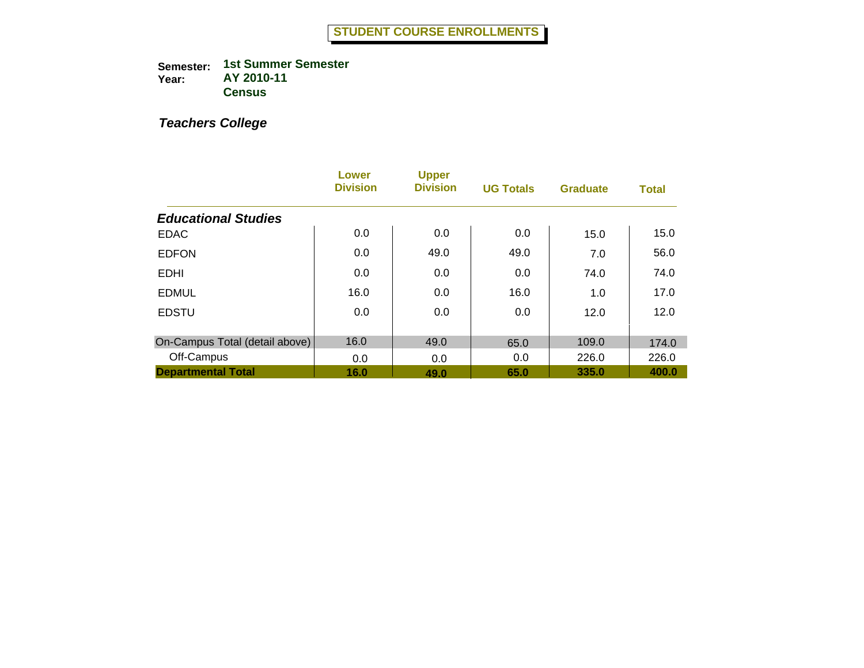|                                | Lower<br><b>Division</b> | <b>Upper</b><br><b>Division</b> | <b>UG Totals</b> | <b>Graduate</b> | <b>Total</b> |
|--------------------------------|--------------------------|---------------------------------|------------------|-----------------|--------------|
| <b>Educational Studies</b>     |                          |                                 |                  |                 |              |
| <b>EDAC</b>                    | 0.0                      | 0.0                             | 0.0              | 15.0            | 15.0         |
| <b>EDFON</b>                   | 0.0                      | 49.0                            | 49.0             | 7.0             | 56.0         |
| <b>EDHI</b>                    | 0.0                      | 0.0                             | 0.0              | 74.0            | 74.0         |
| <b>EDMUL</b>                   | 16.0                     | 0.0                             | 16.0             | 1.0             | 17.0         |
| <b>EDSTU</b>                   | 0.0                      | 0.0                             | 0.0              | 12.0            | 12.0         |
| On-Campus Total (detail above) | 16.0                     | 49.0                            | 65.0             | 109.0           | 174.0        |
| Off-Campus                     | 0.0                      | 0.0                             | 0.0              | 226.0           | 226.0        |
| <b>Departmental Total</b>      | 16.0                     | 49.0                            | 65.0             | 335.0           | 400.0        |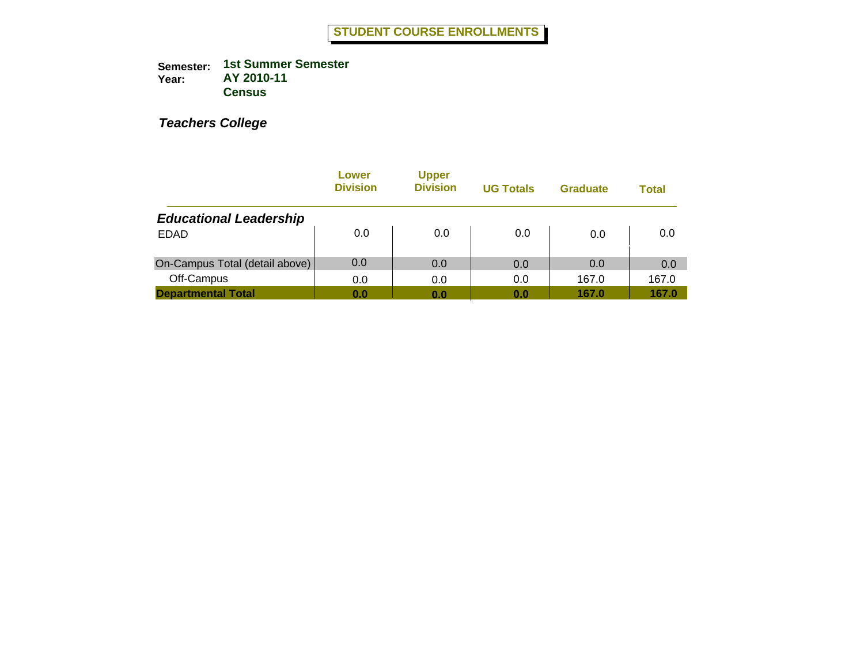|                                | Lower<br><b>Division</b> | <b>Upper</b><br><b>Division</b> | <b>UG Totals</b> | <b>Graduate</b> | Total |
|--------------------------------|--------------------------|---------------------------------|------------------|-----------------|-------|
| <b>Educational Leadership</b>  |                          |                                 |                  |                 |       |
| <b>EDAD</b>                    | 0.0                      | 0.0                             | 0.0              | 0.0             | 0.0   |
| On-Campus Total (detail above) | 0.0                      | 0.0                             | 0.0              | 0.0             | 0.0   |
| Off-Campus                     | 0.0                      | 0.0                             | 0.0              | 167.0           | 167.0 |
| <b>Departmental Total</b>      | 0.0                      | 0.0                             | 0.0              | 167.0           | 167.0 |